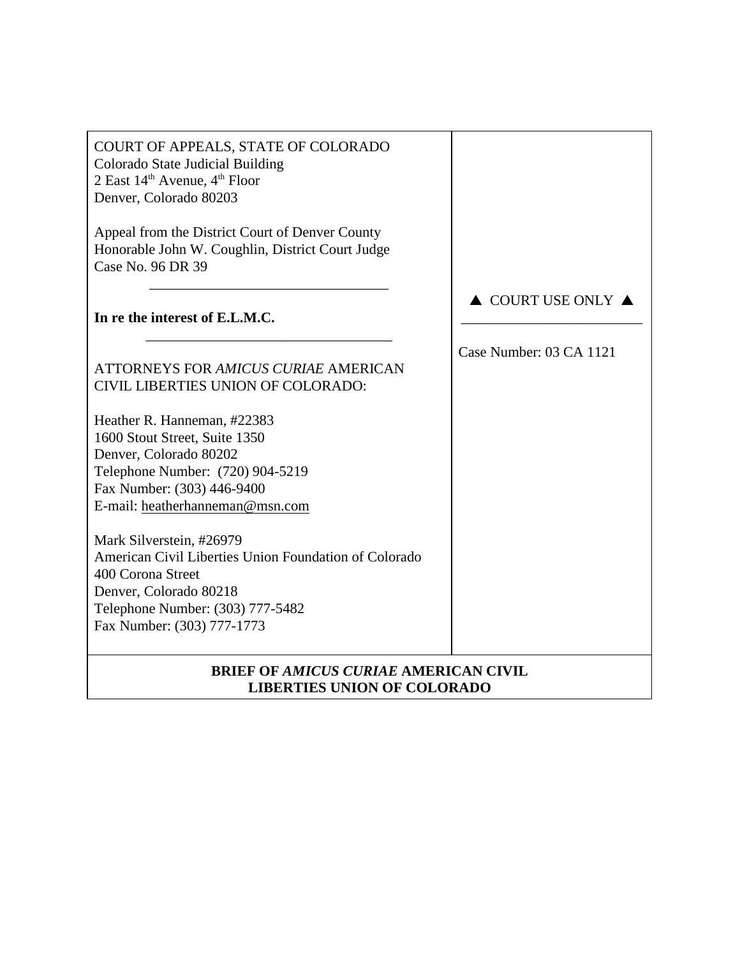| COURT OF APPEALS, STATE OF COLORADO<br>Colorado State Judicial Building<br>2 East $14^{\text{th}}$ Avenue, $4^{\text{th}}$ Floor<br>Denver, Colorado 80203                                         |                                        |
|----------------------------------------------------------------------------------------------------------------------------------------------------------------------------------------------------|----------------------------------------|
| Appeal from the District Court of Denver County<br>Honorable John W. Coughlin, District Court Judge<br>Case No. 96 DR 39                                                                           |                                        |
| In re the interest of E.L.M.C.                                                                                                                                                                     | $\triangle$ COURT USE ONLY $\triangle$ |
| <b>ATTORNEYS FOR AMICUS CURIAE AMERICAN</b><br><b>CIVIL LIBERTIES UNION OF COLORADO:</b>                                                                                                           | Case Number: 03 CA 1121                |
| Heather R. Hanneman, #22383<br>1600 Stout Street, Suite 1350<br>Denver, Colorado 80202<br>Telephone Number: (720) 904-5219<br>Fax Number: (303) 446-9400<br>E-mail: heatherhanneman@msn.com        |                                        |
| Mark Silverstein, #26979<br>American Civil Liberties Union Foundation of Colorado<br>400 Corona Street<br>Denver, Colorado 80218<br>Telephone Number: (303) 777-5482<br>Fax Number: (303) 777-1773 |                                        |
| <b>BRIEF OF AMICUS CURIAE AMERICAN CIVIL</b><br><b>LIBERTIES UNION OF COLORADO</b>                                                                                                                 |                                        |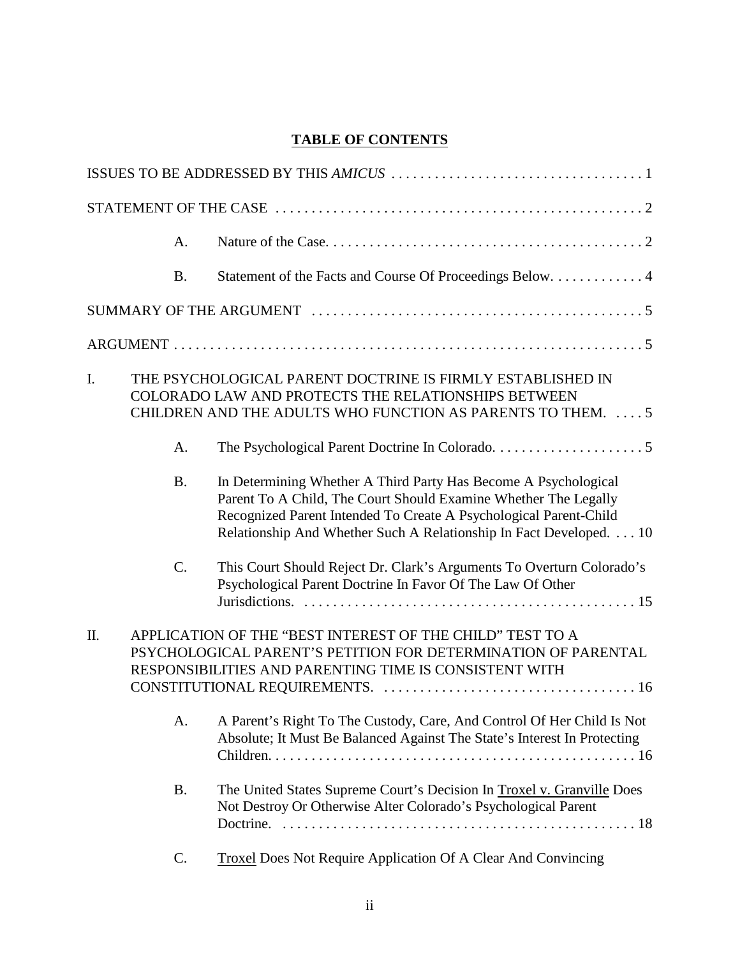# **TABLE OF CONTENTS**

|    | A.              |                                                                                                                                                                                                                                                                               |
|----|-----------------|-------------------------------------------------------------------------------------------------------------------------------------------------------------------------------------------------------------------------------------------------------------------------------|
|    | <b>B.</b>       |                                                                                                                                                                                                                                                                               |
|    |                 |                                                                                                                                                                                                                                                                               |
|    |                 |                                                                                                                                                                                                                                                                               |
| I. |                 | THE PSYCHOLOGICAL PARENT DOCTRINE IS FIRMLY ESTABLISHED IN<br>COLORADO LAW AND PROTECTS THE RELATIONSHIPS BETWEEN<br>CHILDREN AND THE ADULTS WHO FUNCTION AS PARENTS TO THEM.  5                                                                                              |
|    | A.              |                                                                                                                                                                                                                                                                               |
|    | <b>B.</b>       | In Determining Whether A Third Party Has Become A Psychological<br>Parent To A Child, The Court Should Examine Whether The Legally<br>Recognized Parent Intended To Create A Psychological Parent-Child<br>Relationship And Whether Such A Relationship In Fact Developed. 10 |
|    | $\mathcal{C}$ . | This Court Should Reject Dr. Clark's Arguments To Overturn Colorado's<br>Psychological Parent Doctrine In Favor Of The Law Of Other                                                                                                                                           |
| Π. |                 | APPLICATION OF THE "BEST INTEREST OF THE CHILD" TEST TO A<br>PSYCHOLOGICAL PARENT'S PETITION FOR DETERMINATION OF PARENTAL<br>RESPONSIBILITIES AND PARENTING TIME IS CONSISTENT WITH                                                                                          |
|    | A.              | A Parent's Right To The Custody, Care, And Control Of Her Child Is Not<br>Absolute; It Must Be Balanced Against The State's Interest In Protecting                                                                                                                            |
|    | <b>B.</b>       | The United States Supreme Court's Decision In Troxel v. Granville Does<br>Not Destroy Or Otherwise Alter Colorado's Psychological Parent<br>Doctrine.                                                                                                                         |
|    | C.              | Troxel Does Not Require Application Of A Clear And Convincing                                                                                                                                                                                                                 |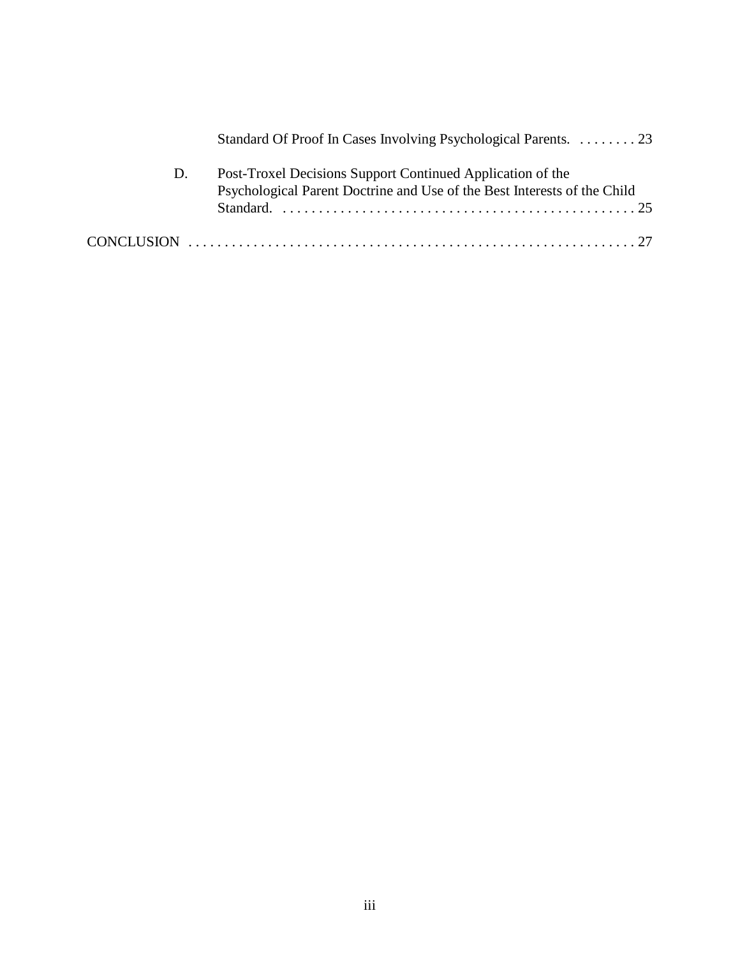|    | Standard Of Proof In Cases Involving Psychological Parents. 23                                                                         |
|----|----------------------------------------------------------------------------------------------------------------------------------------|
| D. | Post-Troxel Decisions Support Continued Application of the<br>Psychological Parent Doctrine and Use of the Best Interests of the Child |
|    |                                                                                                                                        |
|    |                                                                                                                                        |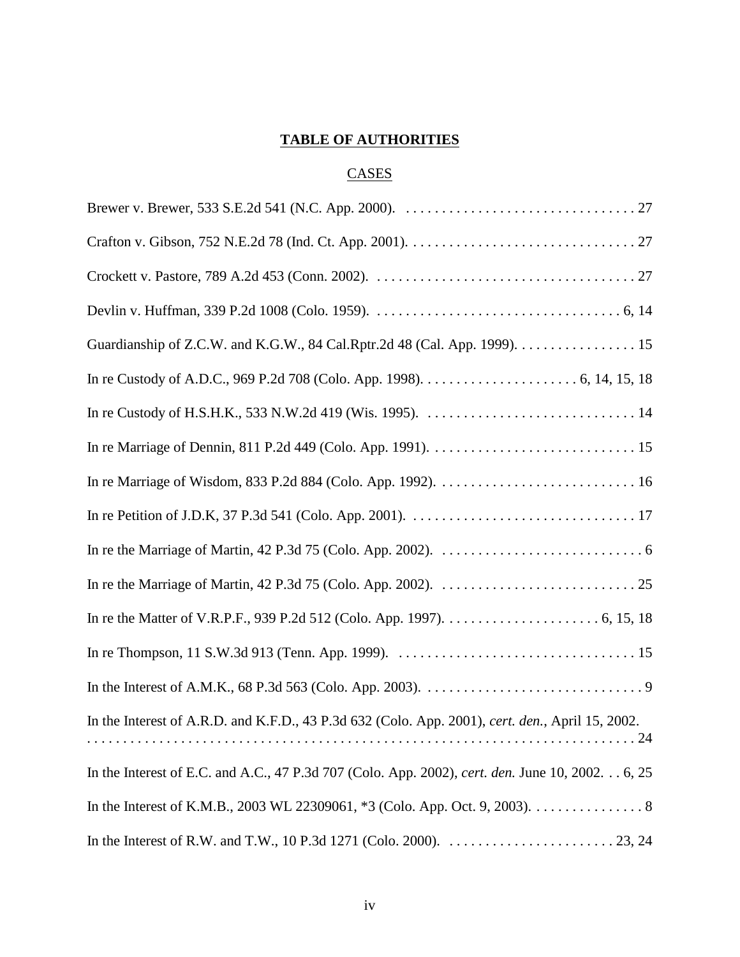# **TABLE OF AUTHORITIES**

## **CASES**

| In the Interest of A.R.D. and K.F.D., 43 P.3d 632 (Colo. App. 2001), cert. den., April 15, 2002.<br>. 24                      |
|-------------------------------------------------------------------------------------------------------------------------------|
| In the Interest of E.C. and A.C., 47 P.3d 707 (Colo. App. 2002), cert. den. June 10, 2002. 6, 25                              |
| In the Interest of K.M.B., 2003 WL 22309061, *3 (Colo. App. Oct. 9, 2003). 8                                                  |
| In the Interest of R.W. and T.W., 10 P.3d 1271 (Colo. 2000). $\ldots \ldots \ldots \ldots \ldots \ldots \ldots \ldots$ 23, 24 |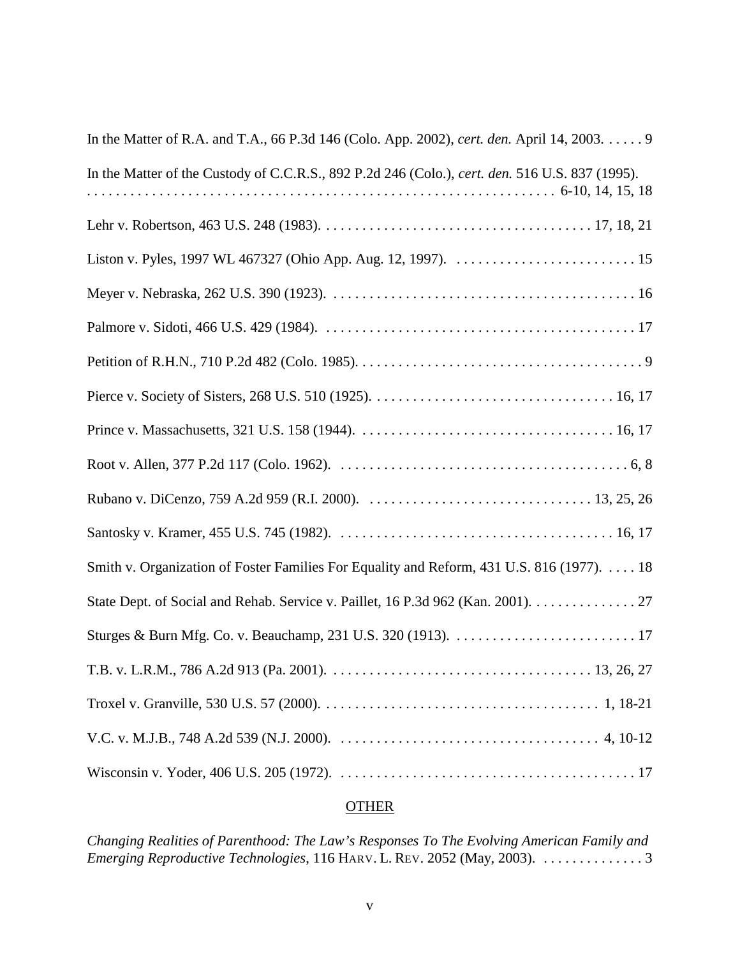| In the Matter of R.A. and T.A., 66 P.3d 146 (Colo. App. 2002), cert. den. April 14, 2003. 9     |
|-------------------------------------------------------------------------------------------------|
| In the Matter of the Custody of C.C.R.S., 892 P.2d 246 (Colo.), cert. den. 516 U.S. 837 (1995). |
|                                                                                                 |
|                                                                                                 |
|                                                                                                 |
|                                                                                                 |
|                                                                                                 |
|                                                                                                 |
|                                                                                                 |
|                                                                                                 |
|                                                                                                 |
|                                                                                                 |
| Smith v. Organization of Foster Families For Equality and Reform, 431 U.S. 816 (1977). 18       |
| State Dept. of Social and Rehab. Service v. Paillet, 16 P.3d 962 (Kan. 2001). 27                |
|                                                                                                 |
|                                                                                                 |
|                                                                                                 |
|                                                                                                 |
|                                                                                                 |

# **OTHER**

*Changing Realities of Parenthood: The Law's Responses To The Evolving American Family and Emerging Reproductive Technologies*, 116 HARV. L. REV. 2052 (May, 2003). . . . . . . . . . . . . . . 3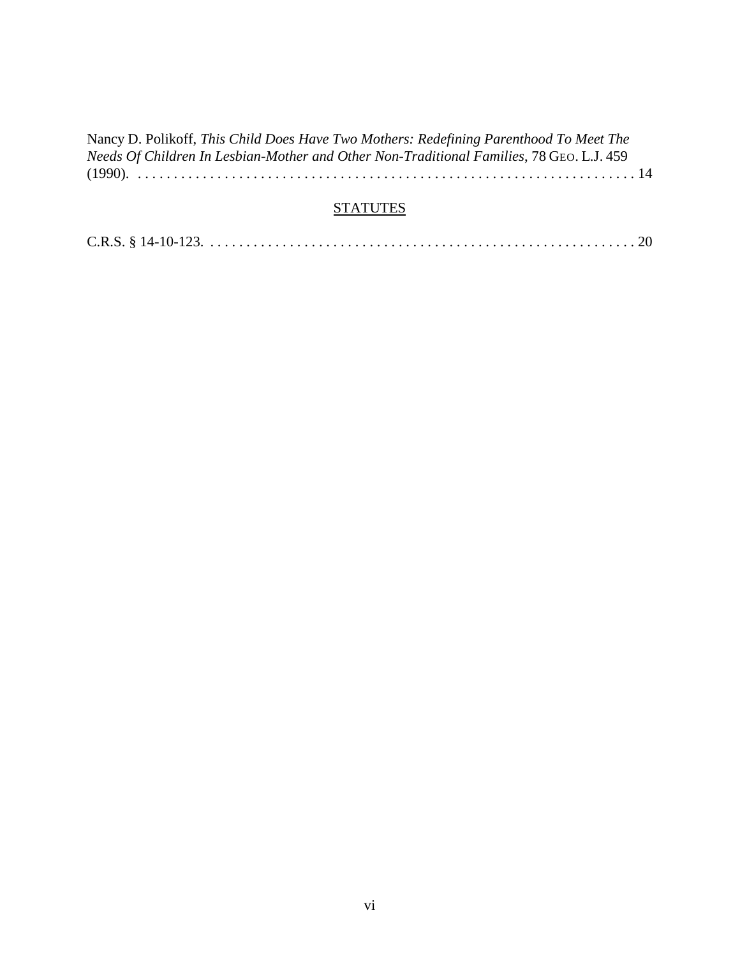| Nancy D. Polikoff, This Child Does Have Two Mothers: Redefining Parenthood To Meet The   |
|------------------------------------------------------------------------------------------|
| Needs Of Children In Lesbian-Mother and Other Non-Traditional Families, 78 GEO. L.J. 459 |
|                                                                                          |

# **STATUTES**

|--|--|--|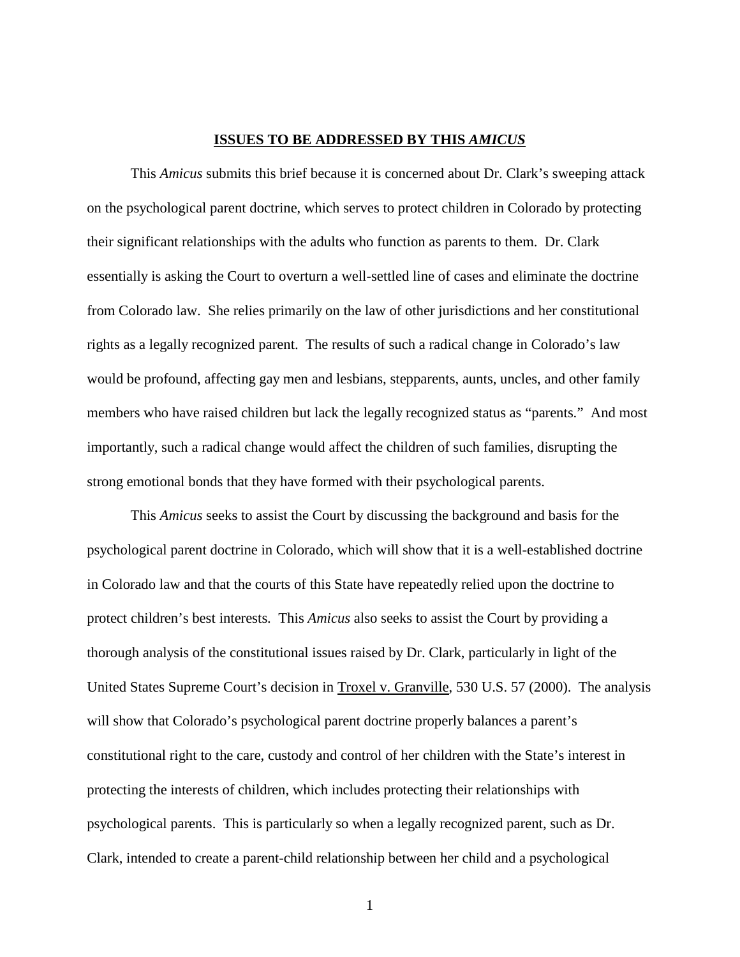#### **ISSUES TO BE ADDRESSED BY THIS** *AMICUS*

This *Amicus* submits this brief because it is concerned about Dr. Clark's sweeping attack on the psychological parent doctrine, which serves to protect children in Colorado by protecting their significant relationships with the adults who function as parents to them. Dr. Clark essentially is asking the Court to overturn a well-settled line of cases and eliminate the doctrine from Colorado law. She relies primarily on the law of other jurisdictions and her constitutional rights as a legally recognized parent. The results of such a radical change in Colorado's law would be profound, affecting gay men and lesbians, stepparents, aunts, uncles, and other family members who have raised children but lack the legally recognized status as "parents." And most importantly, such a radical change would affect the children of such families, disrupting the strong emotional bonds that they have formed with their psychological parents.

This *Amicus* seeks to assist the Court by discussing the background and basis for the psychological parent doctrine in Colorado, which will show that it is a well-established doctrine in Colorado law and that the courts of this State have repeatedly relied upon the doctrine to protect children's best interests. This *Amicus* also seeks to assist the Court by providing a thorough analysis of the constitutional issues raised by Dr. Clark, particularly in light of the United States Supreme Court's decision in Troxel v. Granville, 530 U.S. 57 (2000). The analysis will show that Colorado's psychological parent doctrine properly balances a parent's constitutional right to the care, custody and control of her children with the State's interest in protecting the interests of children, which includes protecting their relationships with psychological parents. This is particularly so when a legally recognized parent, such as Dr. Clark, intended to create a parent-child relationship between her child and a psychological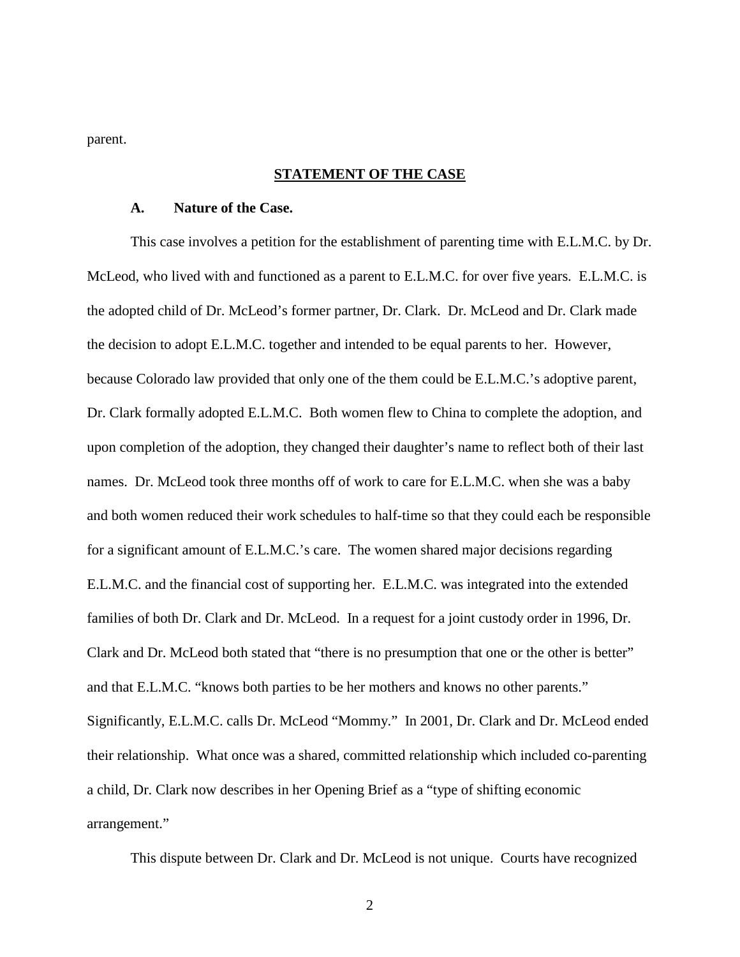parent.

### **STATEMENT OF THE CASE**

#### **A. Nature of the Case.**

This case involves a petition for the establishment of parenting time with E.L.M.C. by Dr. McLeod, who lived with and functioned as a parent to E.L.M.C. for over five years. E.L.M.C. is the adopted child of Dr. McLeod's former partner, Dr. Clark. Dr. McLeod and Dr. Clark made the decision to adopt E.L.M.C. together and intended to be equal parents to her. However, because Colorado law provided that only one of the them could be E.L.M.C.'s adoptive parent, Dr. Clark formally adopted E.L.M.C. Both women flew to China to complete the adoption, and upon completion of the adoption, they changed their daughter's name to reflect both of their last names. Dr. McLeod took three months off of work to care for E.L.M.C. when she was a baby and both women reduced their work schedules to half-time so that they could each be responsible for a significant amount of E.L.M.C.'s care. The women shared major decisions regarding E.L.M.C. and the financial cost of supporting her. E.L.M.C. was integrated into the extended families of both Dr. Clark and Dr. McLeod. In a request for a joint custody order in 1996, Dr. Clark and Dr. McLeod both stated that "there is no presumption that one or the other is better" and that E.L.M.C. "knows both parties to be her mothers and knows no other parents." Significantly, E.L.M.C. calls Dr. McLeod "Mommy." In 2001, Dr. Clark and Dr. McLeod ended their relationship. What once was a shared, committed relationship which included co-parenting a child, Dr. Clark now describes in her Opening Brief as a "type of shifting economic arrangement."

This dispute between Dr. Clark and Dr. McLeod is not unique. Courts have recognized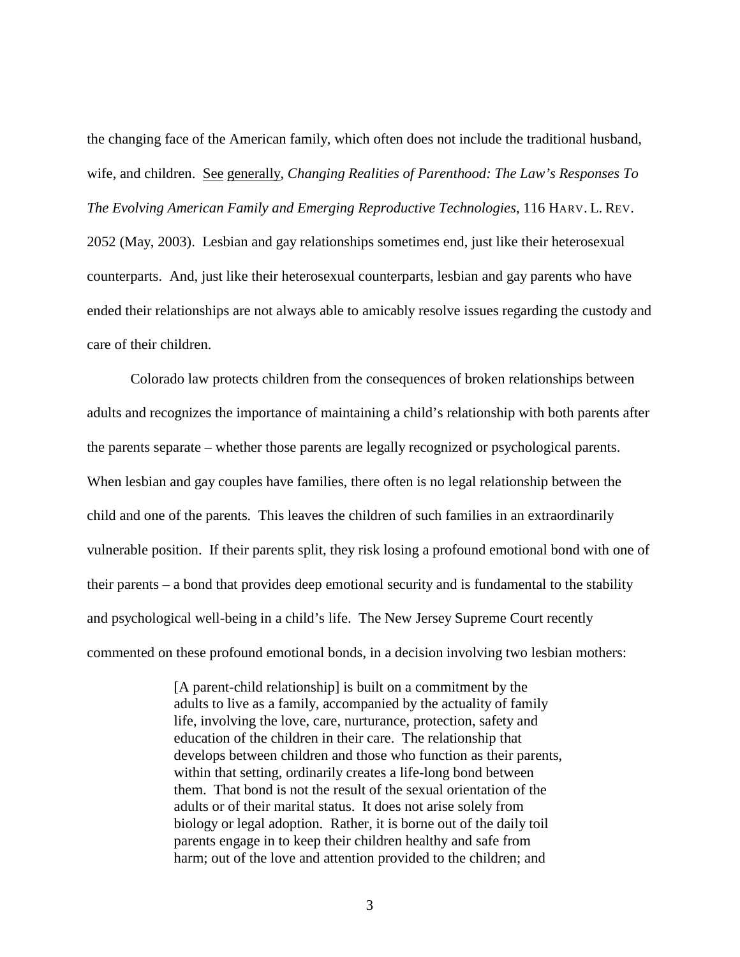the changing face of the American family, which often does not include the traditional husband, wife, and children. See generally, *Changing Realities of Parenthood: The Law's Responses To The Evolving American Family and Emerging Reproductive Technologies*, 116 HARV. L. REV. 2052 (May, 2003). Lesbian and gay relationships sometimes end, just like their heterosexual counterparts. And, just like their heterosexual counterparts, lesbian and gay parents who have ended their relationships are not always able to amicably resolve issues regarding the custody and care of their children.

Colorado law protects children from the consequences of broken relationships between adults and recognizes the importance of maintaining a child's relationship with both parents after the parents separate – whether those parents are legally recognized or psychological parents. When lesbian and gay couples have families, there often is no legal relationship between the child and one of the parents. This leaves the children of such families in an extraordinarily vulnerable position. If their parents split, they risk losing a profound emotional bond with one of their parents – a bond that provides deep emotional security and is fundamental to the stability and psychological well-being in a child's life. The New Jersey Supreme Court recently commented on these profound emotional bonds, in a decision involving two lesbian mothers:

> [A parent-child relationship] is built on a commitment by the adults to live as a family, accompanied by the actuality of family life, involving the love, care, nurturance, protection, safety and education of the children in their care. The relationship that develops between children and those who function as their parents, within that setting, ordinarily creates a life-long bond between them. That bond is not the result of the sexual orientation of the adults or of their marital status. It does not arise solely from biology or legal adoption. Rather, it is borne out of the daily toil parents engage in to keep their children healthy and safe from harm; out of the love and attention provided to the children; and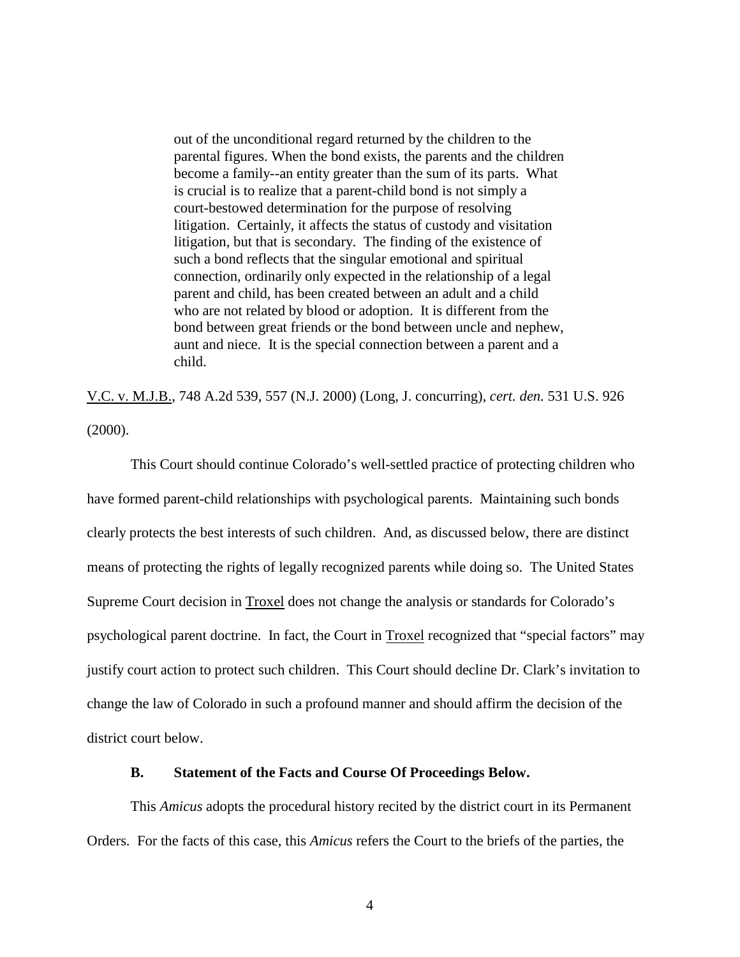out of the unconditional regard returned by the children to the parental figures. When the bond exists, the parents and the children become a family--an entity greater than the sum of its parts. What is crucial is to realize that a parent-child bond is not simply a court-bestowed determination for the purpose of resolving litigation. Certainly, it affects the status of custody and visitation litigation, but that is secondary. The finding of the existence of such a bond reflects that the singular emotional and spiritual connection, ordinarily only expected in the relationship of a legal parent and child, has been created between an adult and a child who are not related by blood or adoption. It is different from the bond between great friends or the bond between uncle and nephew, aunt and niece. It is the special connection between a parent and a child.

V.C. v. M.J.B., 748 A.2d 539, 557 (N.J. 2000) (Long, J. concurring), *cert. den.* 531 U.S. 926 (2000).

This Court should continue Colorado's well-settled practice of protecting children who have formed parent-child relationships with psychological parents. Maintaining such bonds clearly protects the best interests of such children. And, as discussed below, there are distinct means of protecting the rights of legally recognized parents while doing so. The United States Supreme Court decision in Troxel does not change the analysis or standards for Colorado's psychological parent doctrine. In fact, the Court in Troxel recognized that "special factors" may justify court action to protect such children. This Court should decline Dr. Clark's invitation to change the law of Colorado in such a profound manner and should affirm the decision of the district court below.

### **B. Statement of the Facts and Course Of Proceedings Below.**

This *Amicus* adopts the procedural history recited by the district court in its Permanent Orders. For the facts of this case, this *Amicus* refers the Court to the briefs of the parties, the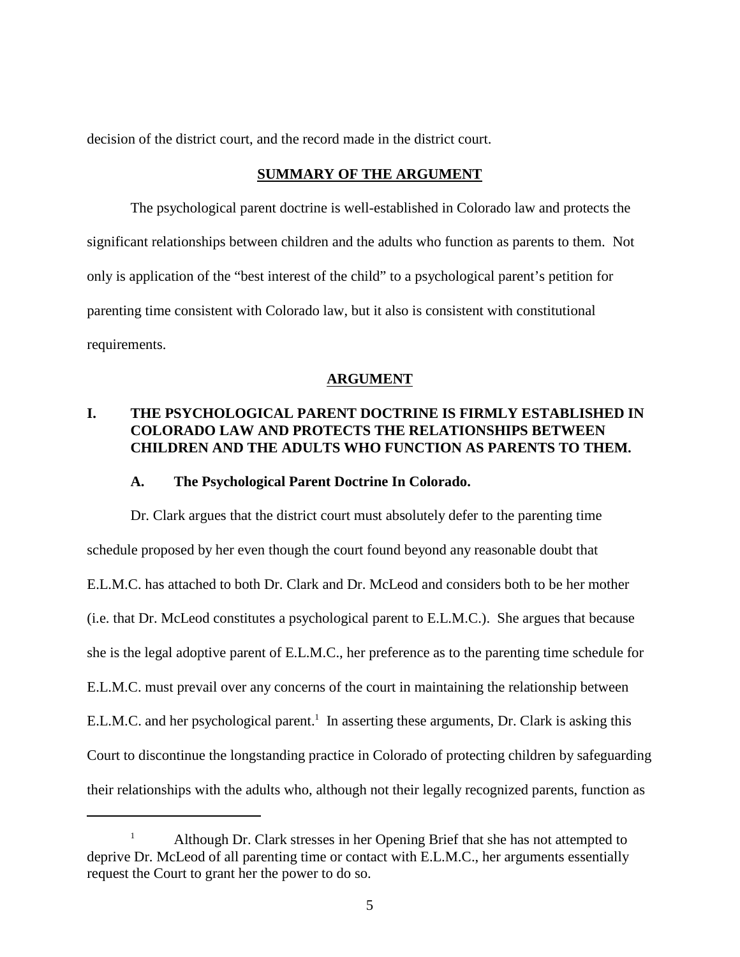decision of the district court, and the record made in the district court.

### **SUMMARY OF THE ARGUMENT**

The psychological parent doctrine is well-established in Colorado law and protects the significant relationships between children and the adults who function as parents to them. Not only is application of the "best interest of the child" to a psychological parent's petition for parenting time consistent with Colorado law, but it also is consistent with constitutional requirements.

### **ARGUMENT**

## **I. THE PSYCHOLOGICAL PARENT DOCTRINE IS FIRMLY ESTABLISHED IN COLORADO LAW AND PROTECTS THE RELATIONSHIPS BETWEEN CHILDREN AND THE ADULTS WHO FUNCTION AS PARENTS TO THEM.**

### **A. The Psychological Parent Doctrine In Colorado.**

Dr. Clark argues that the district court must absolutely defer to the parenting time schedule proposed by her even though the court found beyond any reasonable doubt that E.L.M.C. has attached to both Dr. Clark and Dr. McLeod and considers both to be her mother (i.e. that Dr. McLeod constitutes a psychological parent to E.L.M.C.). She argues that because she is the legal adoptive parent of E.L.M.C., her preference as to the parenting time schedule for E.L.M.C. must prevail over any concerns of the court in maintaining the relationship between E.L.M.C. and her psychological parent.<sup>1</sup> In asserting these arguments, Dr. Clark is asking this Court to discontinue the longstanding practice in Colorado of protecting children by safeguarding their relationships with the adults who, although not their legally recognized parents, function as

Although Dr. Clark stresses in her Opening Brief that she has not attempted to <sup>1</sup> deprive Dr. McLeod of all parenting time or contact with E.L.M.C., her arguments essentially request the Court to grant her the power to do so.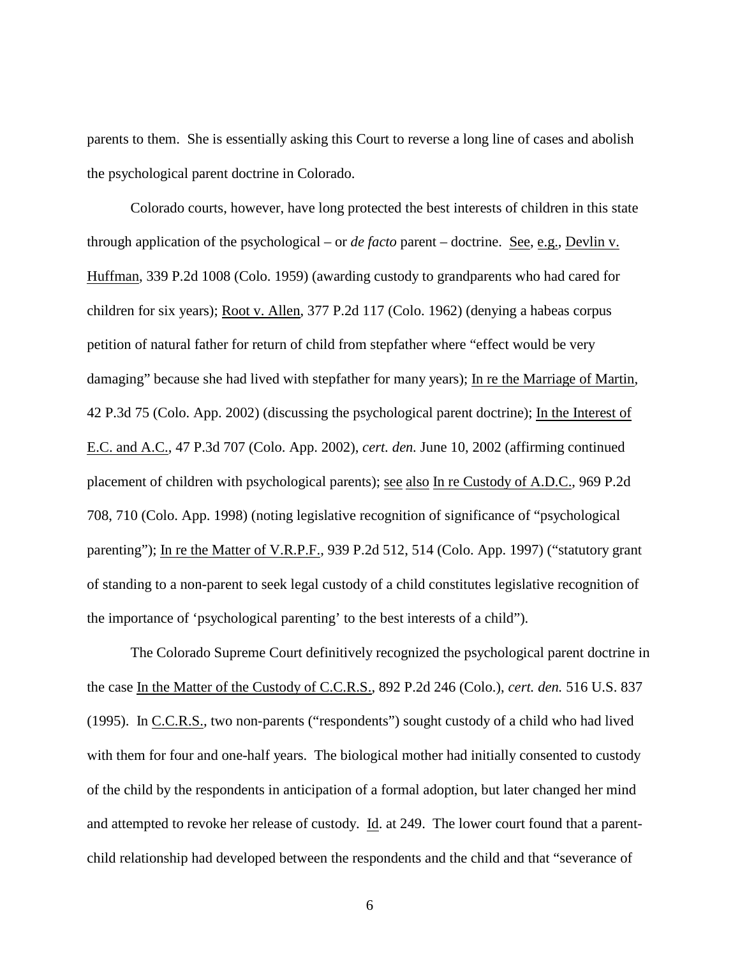parents to them. She is essentially asking this Court to reverse a long line of cases and abolish the psychological parent doctrine in Colorado.

Colorado courts, however, have long protected the best interests of children in this state through application of the psychological – or *de facto* parent – doctrine. See, e.g., Devlin v. Huffman, 339 P.2d 1008 (Colo. 1959) (awarding custody to grandparents who had cared for children for six years); Root v. Allen, 377 P.2d 117 (Colo. 1962) (denying a habeas corpus petition of natural father for return of child from stepfather where "effect would be very damaging" because she had lived with stepfather for many years); In re the Marriage of Martin, 42 P.3d 75 (Colo. App. 2002) (discussing the psychological parent doctrine); In the Interest of E.C. and A.C., 47 P.3d 707 (Colo. App. 2002), *cert. den.* June 10, 2002 (affirming continued placement of children with psychological parents); see also In re Custody of A.D.C., 969 P.2d 708, 710 (Colo. App. 1998) (noting legislative recognition of significance of "psychological parenting"); In re the Matter of V.R.P.F., 939 P.2d 512, 514 (Colo. App. 1997) ("statutory grant of standing to a non-parent to seek legal custody of a child constitutes legislative recognition of the importance of 'psychological parenting' to the best interests of a child").

The Colorado Supreme Court definitively recognized the psychological parent doctrine in the case In the Matter of the Custody of C.C.R.S., 892 P.2d 246 (Colo.), *cert. den.* 516 U.S. 837 (1995). In C.C.R.S., two non-parents ("respondents") sought custody of a child who had lived with them for four and one-half years. The biological mother had initially consented to custody of the child by the respondents in anticipation of a formal adoption, but later changed her mind and attempted to revoke her release of custody. Id. at 249. The lower court found that a parentchild relationship had developed between the respondents and the child and that "severance of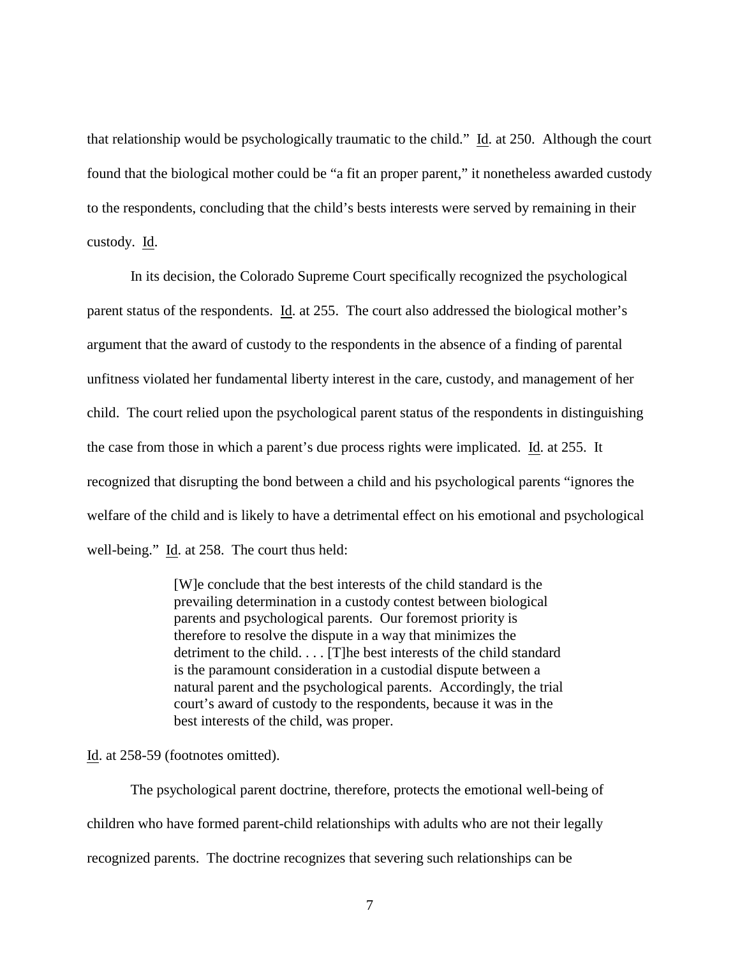that relationship would be psychologically traumatic to the child." Id. at 250. Although the court found that the biological mother could be "a fit an proper parent," it nonetheless awarded custody to the respondents, concluding that the child's bests interests were served by remaining in their custody. Id.

In its decision, the Colorado Supreme Court specifically recognized the psychological parent status of the respondents. Id. at 255. The court also addressed the biological mother's argument that the award of custody to the respondents in the absence of a finding of parental unfitness violated her fundamental liberty interest in the care, custody, and management of her child. The court relied upon the psychological parent status of the respondents in distinguishing the case from those in which a parent's due process rights were implicated. Id. at 255. It recognized that disrupting the bond between a child and his psychological parents "ignores the welfare of the child and is likely to have a detrimental effect on his emotional and psychological well-being." Id. at 258. The court thus held:

> [W]e conclude that the best interests of the child standard is the prevailing determination in a custody contest between biological parents and psychological parents. Our foremost priority is therefore to resolve the dispute in a way that minimizes the detriment to the child. . . . [T]he best interests of the child standard is the paramount consideration in a custodial dispute between a natural parent and the psychological parents. Accordingly, the trial court's award of custody to the respondents, because it was in the best interests of the child, was proper.

Id. at 258-59 (footnotes omitted).

The psychological parent doctrine, therefore, protects the emotional well-being of children who have formed parent-child relationships with adults who are not their legally recognized parents. The doctrine recognizes that severing such relationships can be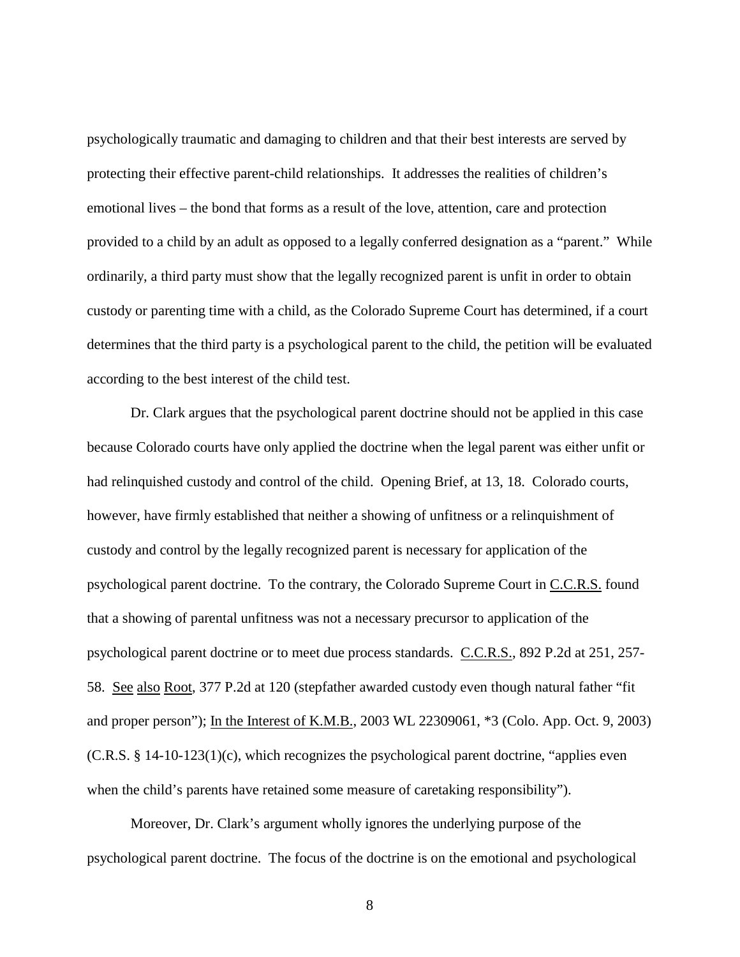psychologically traumatic and damaging to children and that their best interests are served by protecting their effective parent-child relationships. It addresses the realities of children's emotional lives – the bond that forms as a result of the love, attention, care and protection provided to a child by an adult as opposed to a legally conferred designation as a "parent." While ordinarily, a third party must show that the legally recognized parent is unfit in order to obtain custody or parenting time with a child, as the Colorado Supreme Court has determined, if a court determines that the third party is a psychological parent to the child, the petition will be evaluated according to the best interest of the child test.

Dr. Clark argues that the psychological parent doctrine should not be applied in this case because Colorado courts have only applied the doctrine when the legal parent was either unfit or had relinquished custody and control of the child. Opening Brief, at 13, 18. Colorado courts, however, have firmly established that neither a showing of unfitness or a relinquishment of custody and control by the legally recognized parent is necessary for application of the psychological parent doctrine. To the contrary, the Colorado Supreme Court in C.C.R.S. found that a showing of parental unfitness was not a necessary precursor to application of the psychological parent doctrine or to meet due process standards. C.C.R.S., 892 P.2d at 251, 257- 58. See also Root, 377 P.2d at 120 (stepfather awarded custody even though natural father "fit and proper person"); In the Interest of K.M.B., 2003 WL 22309061, \*3 (Colo. App. Oct. 9, 2003)  $(C.R.S. § 14-10-123(1)(c)$ , which recognizes the psychological parent doctrine, "applies even when the child's parents have retained some measure of caretaking responsibility").

Moreover, Dr. Clark's argument wholly ignores the underlying purpose of the psychological parent doctrine. The focus of the doctrine is on the emotional and psychological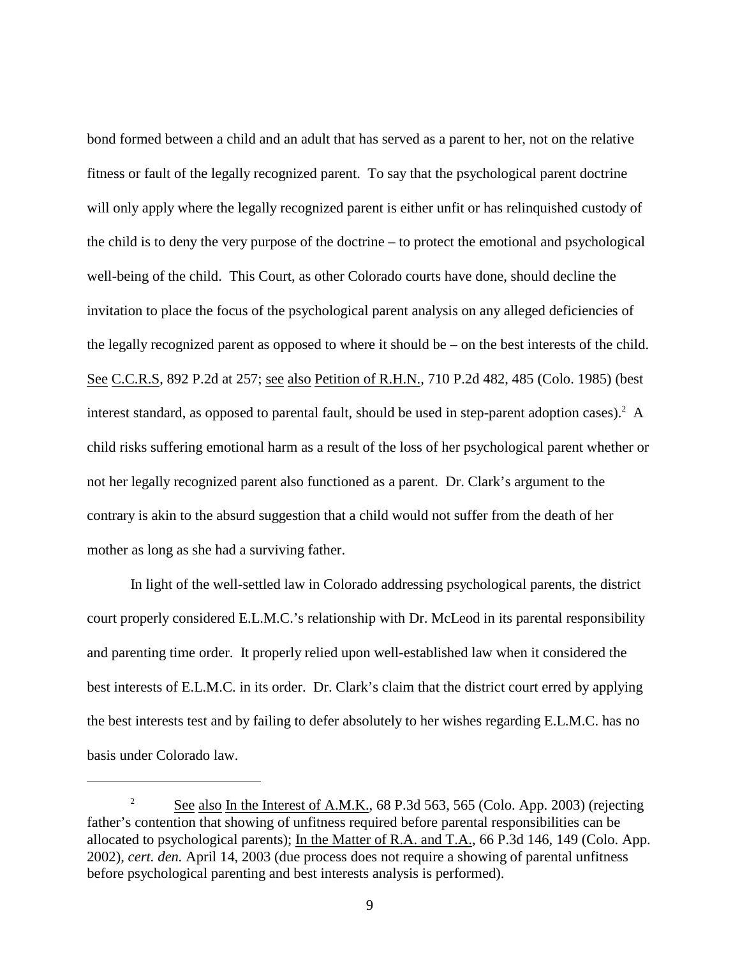bond formed between a child and an adult that has served as a parent to her, not on the relative fitness or fault of the legally recognized parent. To say that the psychological parent doctrine will only apply where the legally recognized parent is either unfit or has relinquished custody of the child is to deny the very purpose of the doctrine – to protect the emotional and psychological well-being of the child. This Court, as other Colorado courts have done, should decline the invitation to place the focus of the psychological parent analysis on any alleged deficiencies of the legally recognized parent as opposed to where it should be – on the best interests of the child. See C.C.R.S, 892 P.2d at 257; see also Petition of R.H.N., 710 P.2d 482, 485 (Colo. 1985) (best interest standard, as opposed to parental fault, should be used in step-parent adoption cases).  $A$ child risks suffering emotional harm as a result of the loss of her psychological parent whether or not her legally recognized parent also functioned as a parent. Dr. Clark's argument to the contrary is akin to the absurd suggestion that a child would not suffer from the death of her mother as long as she had a surviving father.

In light of the well-settled law in Colorado addressing psychological parents, the district court properly considered E.L.M.C.'s relationship with Dr. McLeod in its parental responsibility and parenting time order. It properly relied upon well-established law when it considered the best interests of E.L.M.C. in its order. Dr. Clark's claim that the district court erred by applying the best interests test and by failing to defer absolutely to her wishes regarding E.L.M.C. has no basis under Colorado law.

<sup>&</sup>lt;sup>2</sup> See also In the Interest of A.M.K., 68 P.3d 563, 565 (Colo. App. 2003) (rejecting father's contention that showing of unfitness required before parental responsibilities can be allocated to psychological parents); In the Matter of R.A. and T.A., 66 P.3d 146, 149 (Colo. App. 2002), *cert. den.* April 14, 2003 (due process does not require a showing of parental unfitness before psychological parenting and best interests analysis is performed).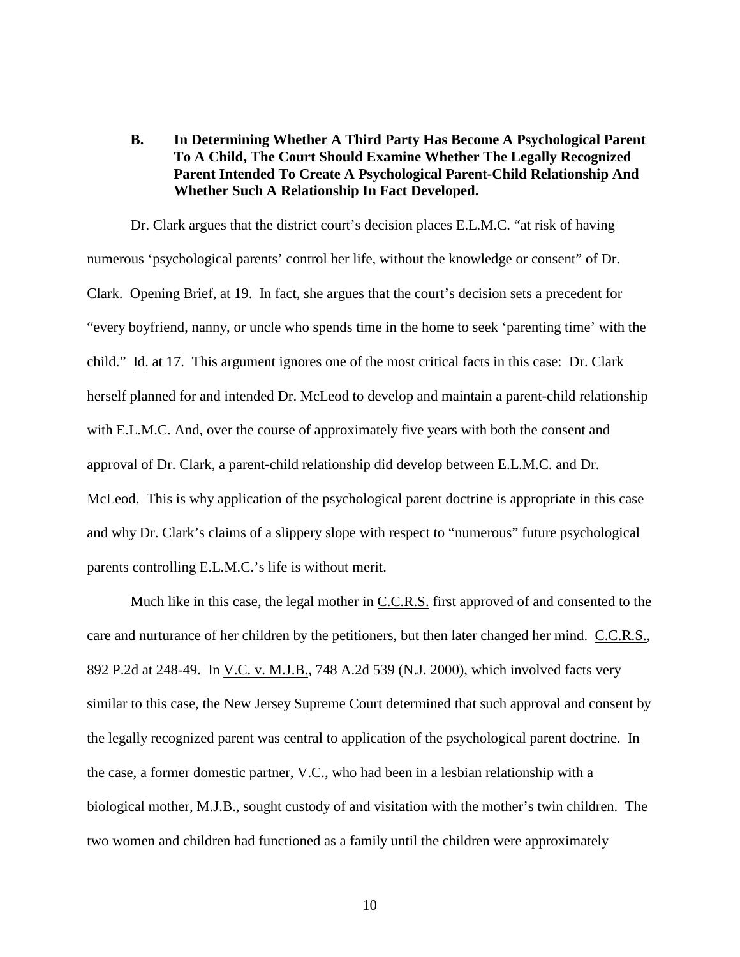**B. In Determining Whether A Third Party Has Become A Psychological Parent To A Child, The Court Should Examine Whether The Legally Recognized Parent Intended To Create A Psychological Parent-Child Relationship And Whether Such A Relationship In Fact Developed.**

Dr. Clark argues that the district court's decision places E.L.M.C. "at risk of having numerous 'psychological parents' control her life, without the knowledge or consent" of Dr. Clark. Opening Brief, at 19. In fact, she argues that the court's decision sets a precedent for "every boyfriend, nanny, or uncle who spends time in the home to seek 'parenting time' with the child." Id. at 17. This argument ignores one of the most critical facts in this case: Dr. Clark herself planned for and intended Dr. McLeod to develop and maintain a parent-child relationship with E.L.M.C. And, over the course of approximately five years with both the consent and approval of Dr. Clark, a parent-child relationship did develop between E.L.M.C. and Dr. McLeod. This is why application of the psychological parent doctrine is appropriate in this case and why Dr. Clark's claims of a slippery slope with respect to "numerous" future psychological parents controlling E.L.M.C.'s life is without merit.

Much like in this case, the legal mother in C.C.R.S. first approved of and consented to the care and nurturance of her children by the petitioners, but then later changed her mind. C.C.R.S., 892 P.2d at 248-49. In V.C. v. M.J.B., 748 A.2d 539 (N.J. 2000), which involved facts very similar to this case, the New Jersey Supreme Court determined that such approval and consent by the legally recognized parent was central to application of the psychological parent doctrine. In the case, a former domestic partner, V.C., who had been in a lesbian relationship with a biological mother, M.J.B., sought custody of and visitation with the mother's twin children. The two women and children had functioned as a family until the children were approximately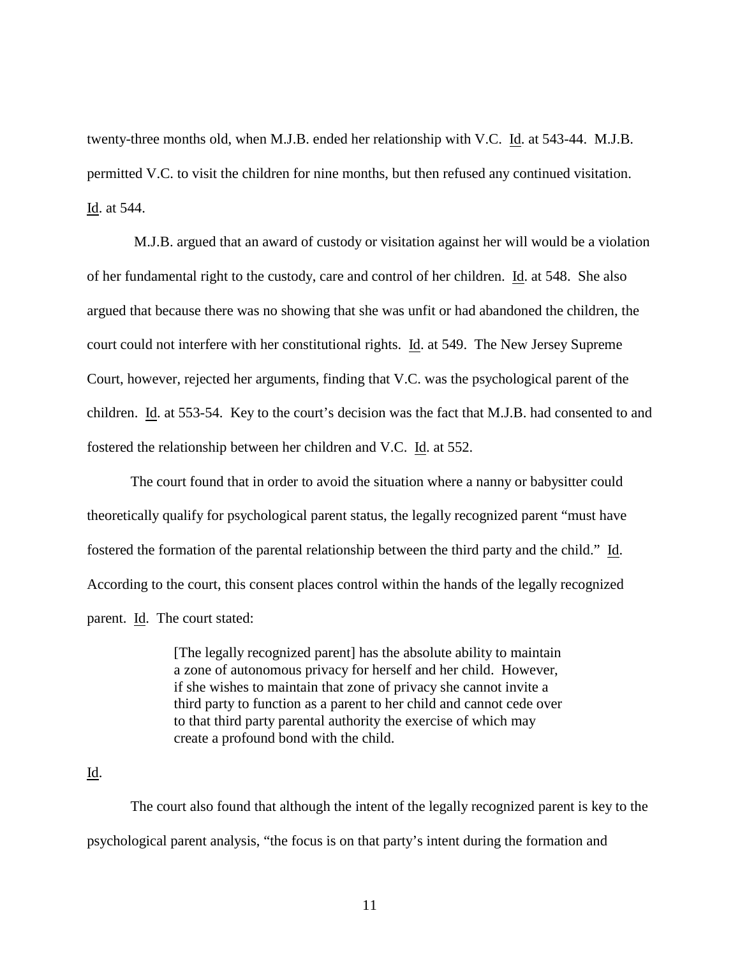twenty-three months old, when M.J.B. ended her relationship with V.C. Id. at 543-44. M.J.B. permitted V.C. to visit the children for nine months, but then refused any continued visitation. Id. at 544.

 M.J.B. argued that an award of custody or visitation against her will would be a violation of her fundamental right to the custody, care and control of her children. Id. at 548. She also argued that because there was no showing that she was unfit or had abandoned the children, the court could not interfere with her constitutional rights. Id. at 549. The New Jersey Supreme Court, however, rejected her arguments, finding that V.C. was the psychological parent of the children. Id. at 553-54. Key to the court's decision was the fact that M.J.B. had consented to and fostered the relationship between her children and V.C. Id. at 552.

The court found that in order to avoid the situation where a nanny or babysitter could theoretically qualify for psychological parent status, the legally recognized parent "must have fostered the formation of the parental relationship between the third party and the child." Id. According to the court, this consent places control within the hands of the legally recognized parent. Id. The court stated:

> [The legally recognized parent] has the absolute ability to maintain a zone of autonomous privacy for herself and her child. However, if she wishes to maintain that zone of privacy she cannot invite a third party to function as a parent to her child and cannot cede over to that third party parental authority the exercise of which may create a profound bond with the child.

### Id.

The court also found that although the intent of the legally recognized parent is key to the psychological parent analysis, "the focus is on that party's intent during the formation and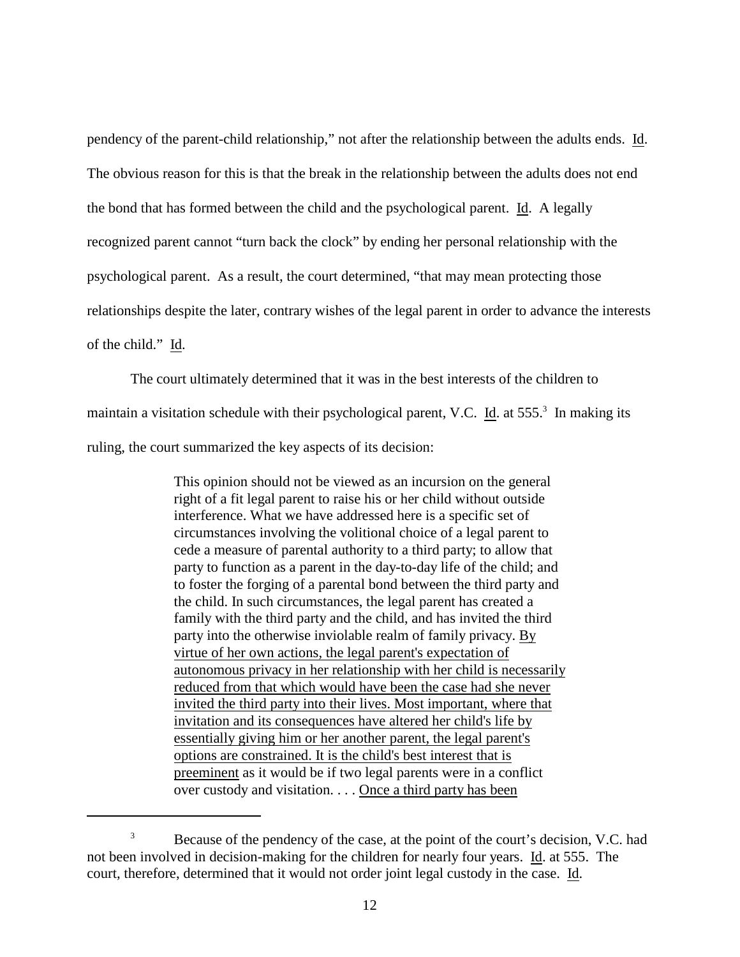pendency of the parent-child relationship," not after the relationship between the adults ends. Id. The obvious reason for this is that the break in the relationship between the adults does not end the bond that has formed between the child and the psychological parent. Id. A legally recognized parent cannot "turn back the clock" by ending her personal relationship with the psychological parent. As a result, the court determined, "that may mean protecting those relationships despite the later, contrary wishes of the legal parent in order to advance the interests of the child." Id.

The court ultimately determined that it was in the best interests of the children to maintain a visitation schedule with their psychological parent, V.C. Id. at  $555<sup>3</sup>$  In making its ruling, the court summarized the key aspects of its decision:

> This opinion should not be viewed as an incursion on the general right of a fit legal parent to raise his or her child without outside interference. What we have addressed here is a specific set of circumstances involving the volitional choice of a legal parent to cede a measure of parental authority to a third party; to allow that party to function as a parent in the day-to-day life of the child; and to foster the forging of a parental bond between the third party and the child. In such circumstances, the legal parent has created a family with the third party and the child, and has invited the third party into the otherwise inviolable realm of family privacy. By virtue of her own actions, the legal parent's expectation of autonomous privacy in her relationship with her child is necessarily reduced from that which would have been the case had she never invited the third party into their lives. Most important, where that invitation and its consequences have altered her child's life by essentially giving him or her another parent, the legal parent's options are constrained. It is the child's best interest that is preeminent as it would be if two legal parents were in a conflict over custody and visitation. . . . Once a third party has been

<sup>&</sup>lt;sup>3</sup> Because of the pendency of the case, at the point of the court's decision, V.C. had not been involved in decision-making for the children for nearly four years. Id. at 555. The court, therefore, determined that it would not order joint legal custody in the case. Id.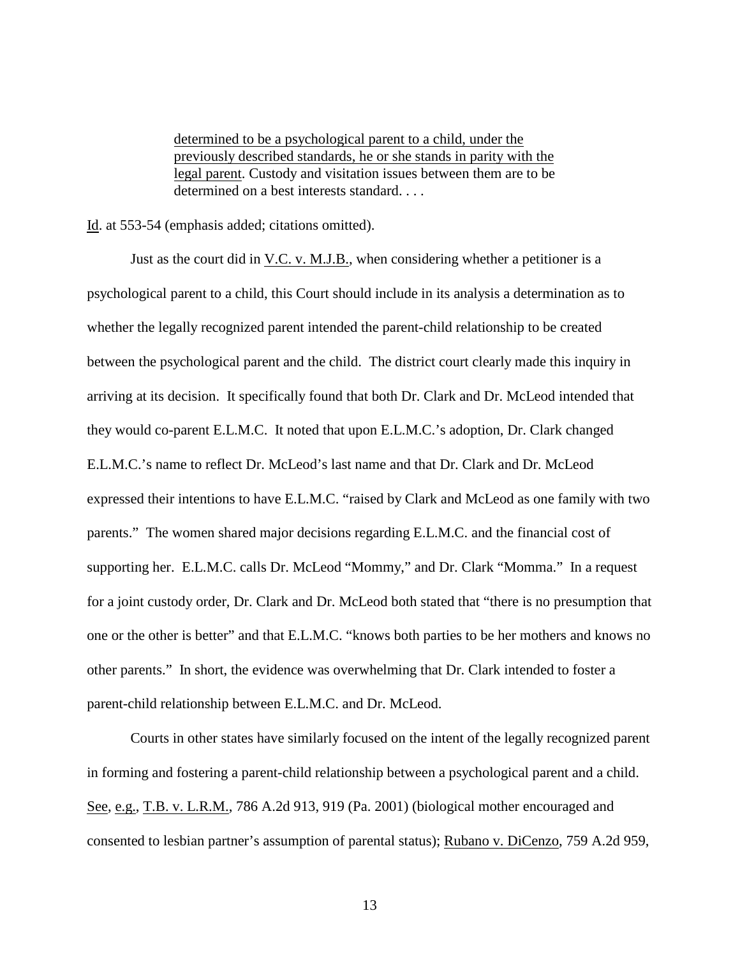determined to be a psychological parent to a child, under the previously described standards, he or she stands in parity with the legal parent. Custody and visitation issues between them are to be determined on a best interests standard. . . .

Id. at 553-54 (emphasis added; citations omitted).

Just as the court did in V.C. v. M.J.B., when considering whether a petitioner is a psychological parent to a child, this Court should include in its analysis a determination as to whether the legally recognized parent intended the parent-child relationship to be created between the psychological parent and the child. The district court clearly made this inquiry in arriving at its decision. It specifically found that both Dr. Clark and Dr. McLeod intended that they would co-parent E.L.M.C. It noted that upon E.L.M.C.'s adoption, Dr. Clark changed E.L.M.C.'s name to reflect Dr. McLeod's last name and that Dr. Clark and Dr. McLeod expressed their intentions to have E.L.M.C. "raised by Clark and McLeod as one family with two parents." The women shared major decisions regarding E.L.M.C. and the financial cost of supporting her. E.L.M.C. calls Dr. McLeod "Mommy," and Dr. Clark "Momma." In a request for a joint custody order, Dr. Clark and Dr. McLeod both stated that "there is no presumption that one or the other is better" and that E.L.M.C. "knows both parties to be her mothers and knows no other parents." In short, the evidence was overwhelming that Dr. Clark intended to foster a parent-child relationship between E.L.M.C. and Dr. McLeod.

Courts in other states have similarly focused on the intent of the legally recognized parent in forming and fostering a parent-child relationship between a psychological parent and a child. See, e.g., T.B. v. L.R.M., 786 A.2d 913, 919 (Pa. 2001) (biological mother encouraged and consented to lesbian partner's assumption of parental status); Rubano v. DiCenzo, 759 A.2d 959,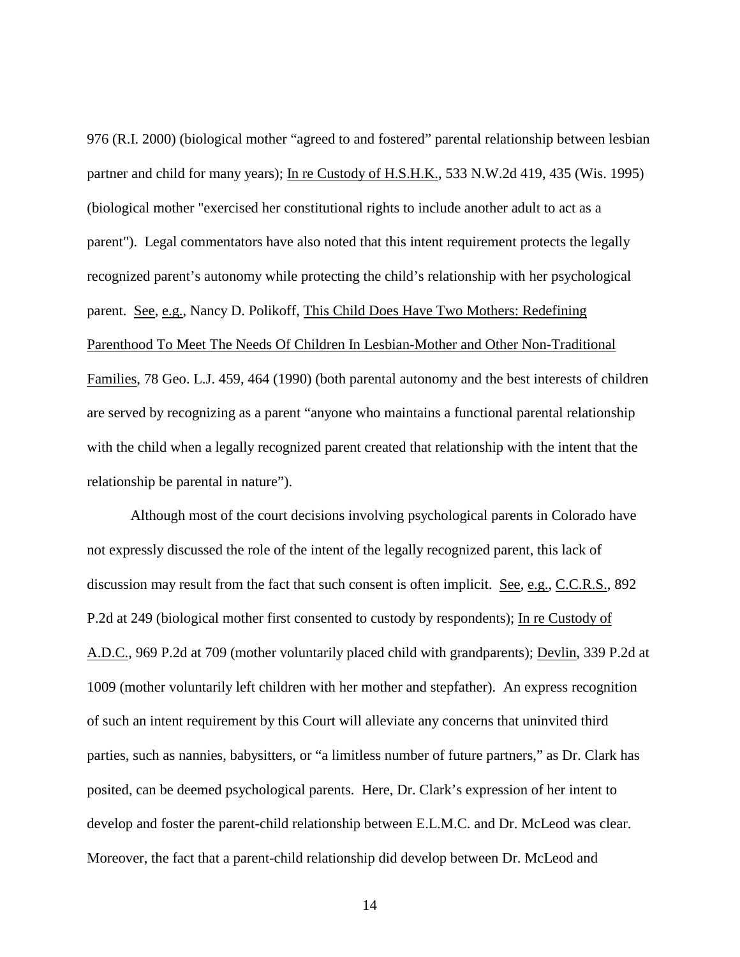976 (R.I. 2000) (biological mother "agreed to and fostered" parental relationship between lesbian partner and child for many years); In re Custody of H.S.H.K., 533 N.W.2d 419, 435 (Wis. 1995) (biological mother "exercised her constitutional rights to include another adult to act as a parent"). Legal commentators have also noted that this intent requirement protects the legally recognized parent's autonomy while protecting the child's relationship with her psychological parent. See, e.g., Nancy D. Polikoff, This Child Does Have Two Mothers: Redefining Parenthood To Meet The Needs Of Children In Lesbian-Mother and Other Non-Traditional Families, 78 Geo. L.J. 459, 464 (1990) (both parental autonomy and the best interests of children are served by recognizing as a parent "anyone who maintains a functional parental relationship with the child when a legally recognized parent created that relationship with the intent that the relationship be parental in nature").

Although most of the court decisions involving psychological parents in Colorado have not expressly discussed the role of the intent of the legally recognized parent, this lack of discussion may result from the fact that such consent is often implicit. See, e.g., C.C.R.S., 892 P.2d at 249 (biological mother first consented to custody by respondents); In re Custody of A.D.C., 969 P.2d at 709 (mother voluntarily placed child with grandparents); Devlin, 339 P.2d at 1009 (mother voluntarily left children with her mother and stepfather). An express recognition of such an intent requirement by this Court will alleviate any concerns that uninvited third parties, such as nannies, babysitters, or "a limitless number of future partners," as Dr. Clark has posited, can be deemed psychological parents. Here, Dr. Clark's expression of her intent to develop and foster the parent-child relationship between E.L.M.C. and Dr. McLeod was clear. Moreover, the fact that a parent-child relationship did develop between Dr. McLeod and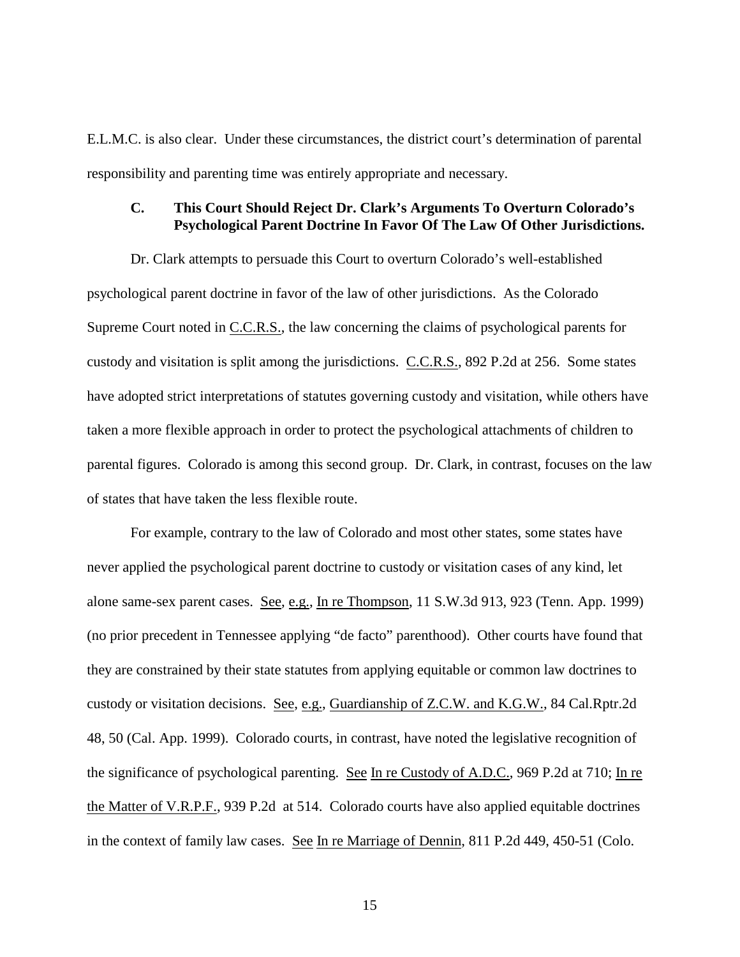E.L.M.C. is also clear. Under these circumstances, the district court's determination of parental responsibility and parenting time was entirely appropriate and necessary.

### **C. This Court Should Reject Dr. Clark's Arguments To Overturn Colorado's Psychological Parent Doctrine In Favor Of The Law Of Other Jurisdictions.**

Dr. Clark attempts to persuade this Court to overturn Colorado's well-established psychological parent doctrine in favor of the law of other jurisdictions. As the Colorado Supreme Court noted in C.C.R.S., the law concerning the claims of psychological parents for custody and visitation is split among the jurisdictions. C.C.R.S., 892 P.2d at 256. Some states have adopted strict interpretations of statutes governing custody and visitation, while others have taken a more flexible approach in order to protect the psychological attachments of children to parental figures. Colorado is among this second group. Dr. Clark, in contrast, focuses on the law of states that have taken the less flexible route.

For example, contrary to the law of Colorado and most other states, some states have never applied the psychological parent doctrine to custody or visitation cases of any kind, let alone same-sex parent cases. See, e.g., In re Thompson, 11 S.W.3d 913, 923 (Tenn. App. 1999) (no prior precedent in Tennessee applying "de facto" parenthood). Other courts have found that they are constrained by their state statutes from applying equitable or common law doctrines to custody or visitation decisions. See, e.g., Guardianship of Z.C.W. and K.G.W., 84 Cal.Rptr.2d 48, 50 (Cal. App. 1999). Colorado courts, in contrast, have noted the legislative recognition of the significance of psychological parenting. See In re Custody of A.D.C., 969 P.2d at 710; In re the Matter of V.R.P.F., 939 P.2d at 514. Colorado courts have also applied equitable doctrines in the context of family law cases. See In re Marriage of Dennin, 811 P.2d 449, 450-51 (Colo.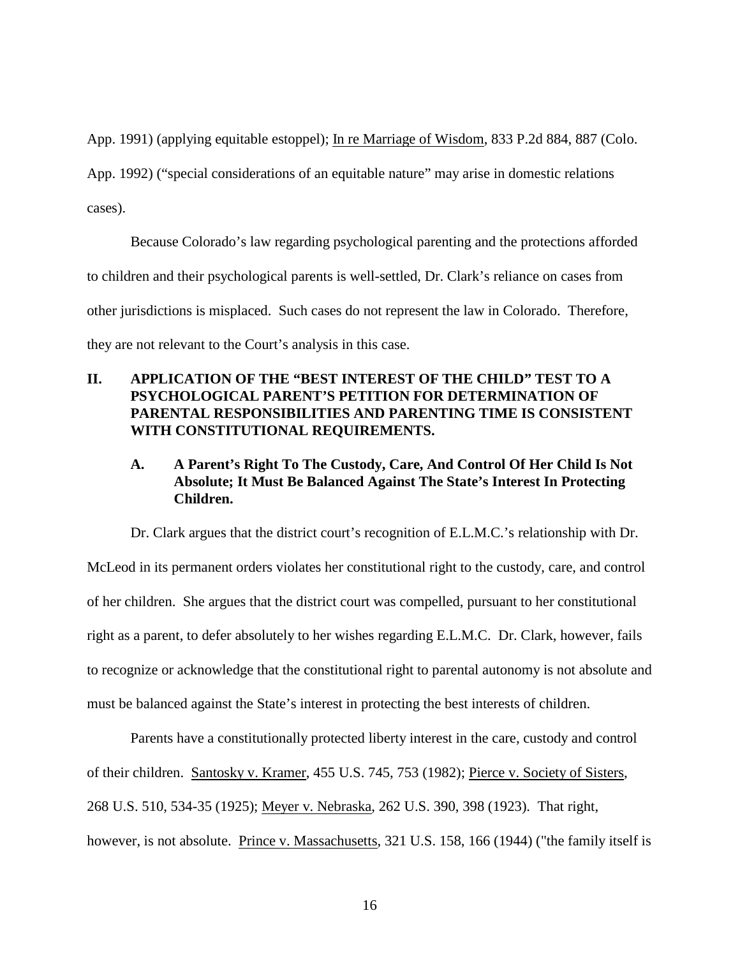App. 1991) (applying equitable estoppel); In re Marriage of Wisdom, 833 P.2d 884, 887 (Colo.

App. 1992) ("special considerations of an equitable nature" may arise in domestic relations cases).

Because Colorado's law regarding psychological parenting and the protections afforded to children and their psychological parents is well-settled, Dr. Clark's reliance on cases from other jurisdictions is misplaced. Such cases do not represent the law in Colorado. Therefore, they are not relevant to the Court's analysis in this case.

## **II. APPLICATION OF THE "BEST INTEREST OF THE CHILD" TEST TO A PSYCHOLOGICAL PARENT'S PETITION FOR DETERMINATION OF PARENTAL RESPONSIBILITIES AND PARENTING TIME IS CONSISTENT WITH CONSTITUTIONAL REQUIREMENTS.**

# **A. A Parent's Right To The Custody, Care, And Control Of Her Child Is Not Absolute; It Must Be Balanced Against The State's Interest In Protecting Children.**

Dr. Clark argues that the district court's recognition of E.L.M.C.'s relationship with Dr. McLeod in its permanent orders violates her constitutional right to the custody, care, and control of her children. She argues that the district court was compelled, pursuant to her constitutional right as a parent, to defer absolutely to her wishes regarding E.L.M.C. Dr. Clark, however, fails to recognize or acknowledge that the constitutional right to parental autonomy is not absolute and must be balanced against the State's interest in protecting the best interests of children.

Parents have a constitutionally protected liberty interest in the care, custody and control of their children. Santosky v. Kramer, 455 U.S. 745, 753 (1982); Pierce v. Society of Sisters, 268 U.S. 510, 534-35 (1925); Meyer v. Nebraska, 262 U.S. 390, 398 (1923). That right, however, is not absolute. Prince v. Massachusetts, 321 U.S. 158, 166 (1944) ("the family itself is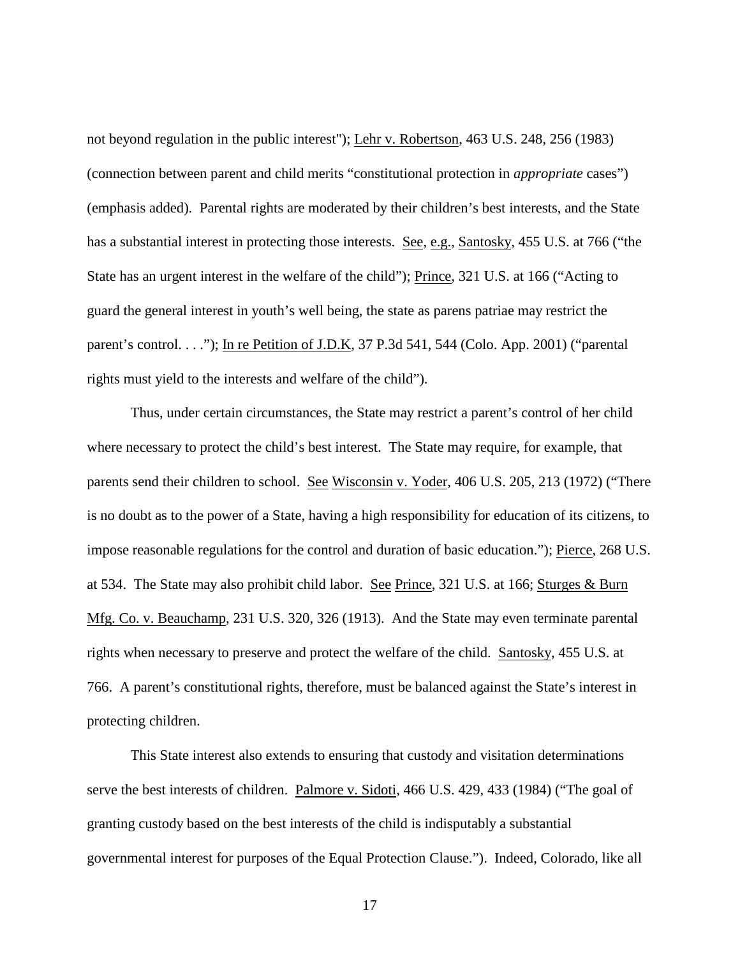not beyond regulation in the public interest"); Lehr v. Robertson, 463 U.S. 248, 256 (1983) (connection between parent and child merits "constitutional protection in *appropriate* cases") (emphasis added). Parental rights are moderated by their children's best interests, and the State has a substantial interest in protecting those interests. See, e.g., Santosky, 455 U.S. at 766 ("the State has an urgent interest in the welfare of the child"); Prince, 321 U.S. at 166 ("Acting to guard the general interest in youth's well being, the state as parens patriae may restrict the parent's control. . . ."); In re Petition of J.D.K, 37 P.3d 541, 544 (Colo. App. 2001) ("parental rights must yield to the interests and welfare of the child").

Thus, under certain circumstances, the State may restrict a parent's control of her child where necessary to protect the child's best interest. The State may require, for example, that parents send their children to school. See Wisconsin v. Yoder, 406 U.S. 205, 213 (1972) ("There is no doubt as to the power of a State, having a high responsibility for education of its citizens, to impose reasonable regulations for the control and duration of basic education."); Pierce, 268 U.S. at 534. The State may also prohibit child labor. See Prince, 321 U.S. at 166; Sturges & Burn Mfg. Co. v. Beauchamp, 231 U.S. 320, 326 (1913). And the State may even terminate parental rights when necessary to preserve and protect the welfare of the child. Santosky, 455 U.S. at 766. A parent's constitutional rights, therefore, must be balanced against the State's interest in protecting children.

This State interest also extends to ensuring that custody and visitation determinations serve the best interests of children. Palmore v. Sidoti, 466 U.S. 429, 433 (1984) ("The goal of granting custody based on the best interests of the child is indisputably a substantial governmental interest for purposes of the Equal Protection Clause."). Indeed, Colorado, like all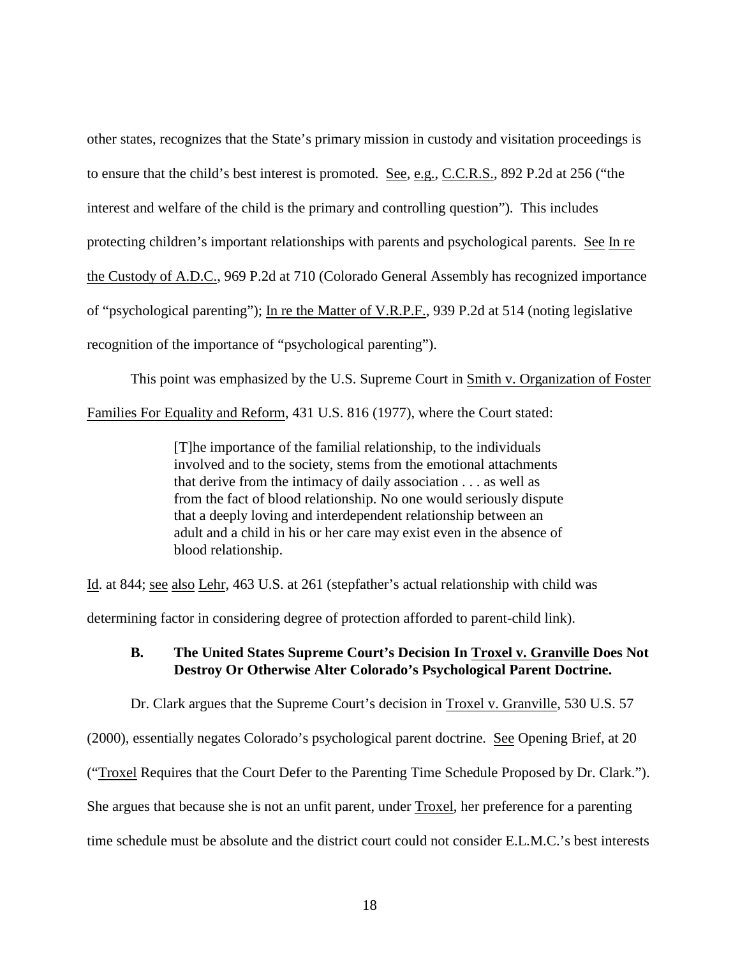other states, recognizes that the State's primary mission in custody and visitation proceedings is to ensure that the child's best interest is promoted. See, e.g., C.C.R.S., 892 P.2d at 256 ("the interest and welfare of the child is the primary and controlling question"). This includes protecting children's important relationships with parents and psychological parents. See In re the Custody of A.D.C., 969 P.2d at 710 (Colorado General Assembly has recognized importance of "psychological parenting"); In re the Matter of V.R.P.F., 939 P.2d at 514 (noting legislative recognition of the importance of "psychological parenting").

This point was emphasized by the U.S. Supreme Court in Smith v. Organization of Foster Families For Equality and Reform, 431 U.S. 816 (1977), where the Court stated:

> [T]he importance of the familial relationship, to the individuals involved and to the society, stems from the emotional attachments that derive from the intimacy of daily association . . . as well as from the fact of blood relationship. No one would seriously dispute that a deeply loving and interdependent relationship between an adult and a child in his or her care may exist even in the absence of blood relationship.

Id. at 844; see also Lehr, 463 U.S. at 261 (stepfather's actual relationship with child was

determining factor in considering degree of protection afforded to parent-child link).

## **B. The United States Supreme Court's Decision In Troxel v. Granville Does Not Destroy Or Otherwise Alter Colorado's Psychological Parent Doctrine.**

Dr. Clark argues that the Supreme Court's decision in Troxel v. Granville, 530 U.S. 57

(2000), essentially negates Colorado's psychological parent doctrine. See Opening Brief, at 20

("Troxel Requires that the Court Defer to the Parenting Time Schedule Proposed by Dr. Clark.").

She argues that because she is not an unfit parent, under Troxel, her preference for a parenting

time schedule must be absolute and the district court could not consider E.L.M.C.'s best interests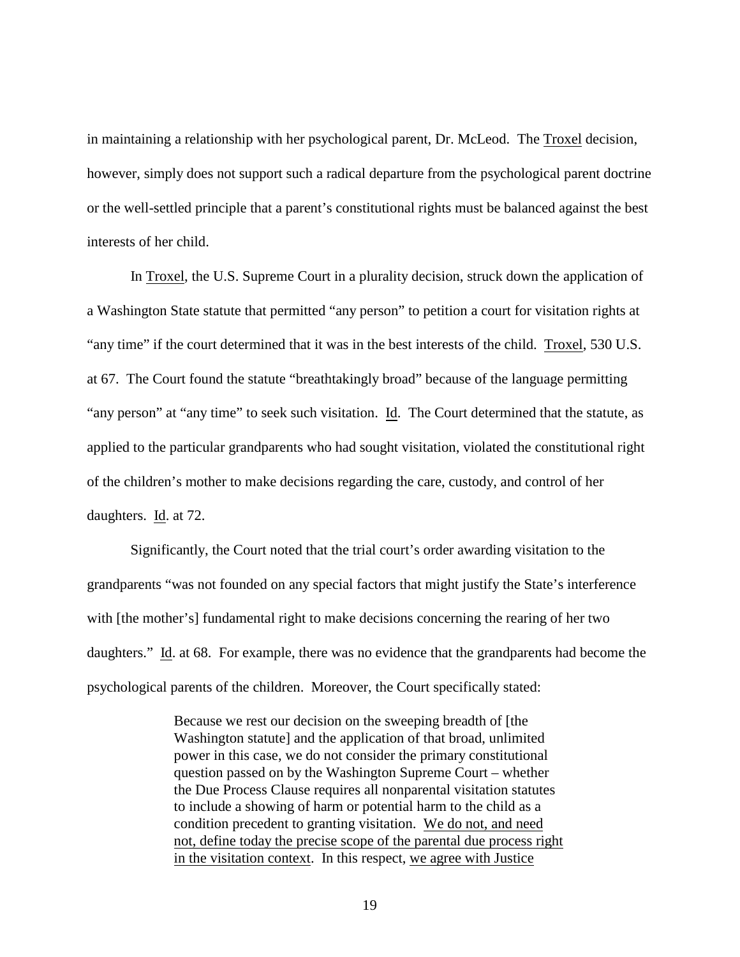in maintaining a relationship with her psychological parent, Dr. McLeod. The Troxel decision, however, simply does not support such a radical departure from the psychological parent doctrine or the well-settled principle that a parent's constitutional rights must be balanced against the best interests of her child.

In Troxel, the U.S. Supreme Court in a plurality decision, struck down the application of a Washington State statute that permitted "any person" to petition a court for visitation rights at "any time" if the court determined that it was in the best interests of the child. Troxel, 530 U.S. at 67. The Court found the statute "breathtakingly broad" because of the language permitting "any person" at "any time" to seek such visitation. Id. The Court determined that the statute, as applied to the particular grandparents who had sought visitation, violated the constitutional right of the children's mother to make decisions regarding the care, custody, and control of her daughters. Id. at 72.

Significantly, the Court noted that the trial court's order awarding visitation to the grandparents "was not founded on any special factors that might justify the State's interference with [the mother's] fundamental right to make decisions concerning the rearing of her two daughters." Id. at 68. For example, there was no evidence that the grandparents had become the psychological parents of the children. Moreover, the Court specifically stated:

> Because we rest our decision on the sweeping breadth of [the Washington statute] and the application of that broad, unlimited power in this case, we do not consider the primary constitutional question passed on by the Washington Supreme Court – whether the Due Process Clause requires all nonparental visitation statutes to include a showing of harm or potential harm to the child as a condition precedent to granting visitation. We do not, and need not, define today the precise scope of the parental due process right in the visitation context. In this respect, we agree with Justice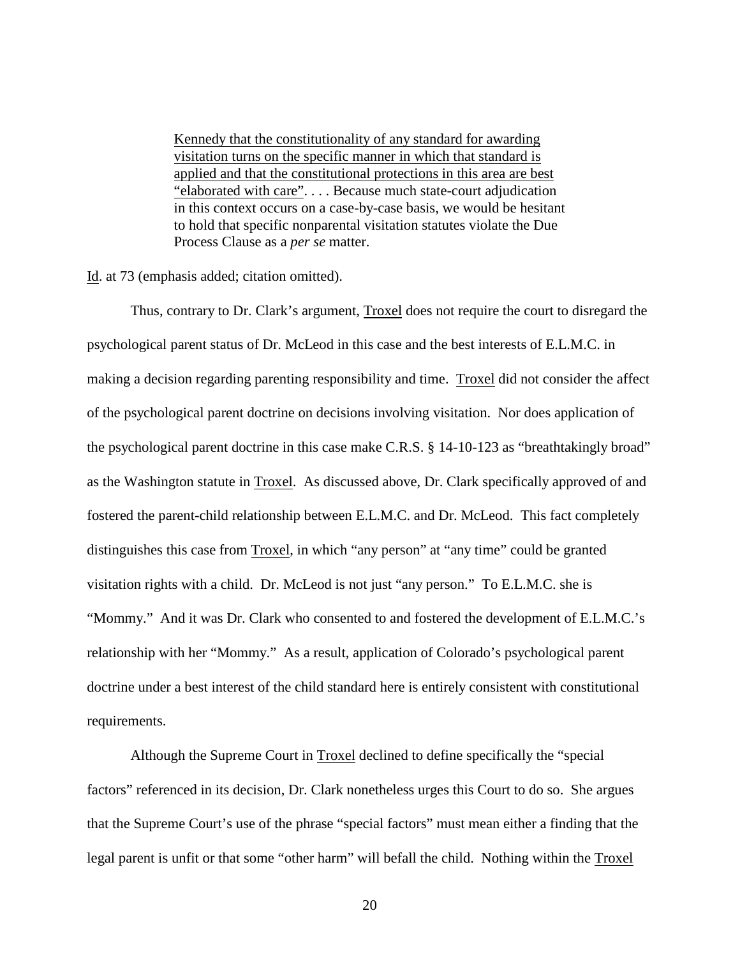Kennedy that the constitutionality of any standard for awarding visitation turns on the specific manner in which that standard is applied and that the constitutional protections in this area are best "elaborated with care". . . . Because much state-court adjudication in this context occurs on a case-by-case basis, we would be hesitant to hold that specific nonparental visitation statutes violate the Due Process Clause as a *per se* matter.

Id. at 73 (emphasis added; citation omitted).

Thus, contrary to Dr. Clark's argument, Troxel does not require the court to disregard the psychological parent status of Dr. McLeod in this case and the best interests of E.L.M.C. in making a decision regarding parenting responsibility and time. Troxel did not consider the affect of the psychological parent doctrine on decisions involving visitation. Nor does application of the psychological parent doctrine in this case make C.R.S. § 14-10-123 as "breathtakingly broad" as the Washington statute in Troxel. As discussed above, Dr. Clark specifically approved of and fostered the parent-child relationship between E.L.M.C. and Dr. McLeod. This fact completely distinguishes this case from Troxel, in which "any person" at "any time" could be granted visitation rights with a child. Dr. McLeod is not just "any person." To E.L.M.C. she is "Mommy." And it was Dr. Clark who consented to and fostered the development of E.L.M.C.'s relationship with her "Mommy." As a result, application of Colorado's psychological parent doctrine under a best interest of the child standard here is entirely consistent with constitutional requirements.

Although the Supreme Court in Troxel declined to define specifically the "special factors" referenced in its decision, Dr. Clark nonetheless urges this Court to do so. She argues that the Supreme Court's use of the phrase "special factors" must mean either a finding that the legal parent is unfit or that some "other harm" will befall the child. Nothing within the Troxel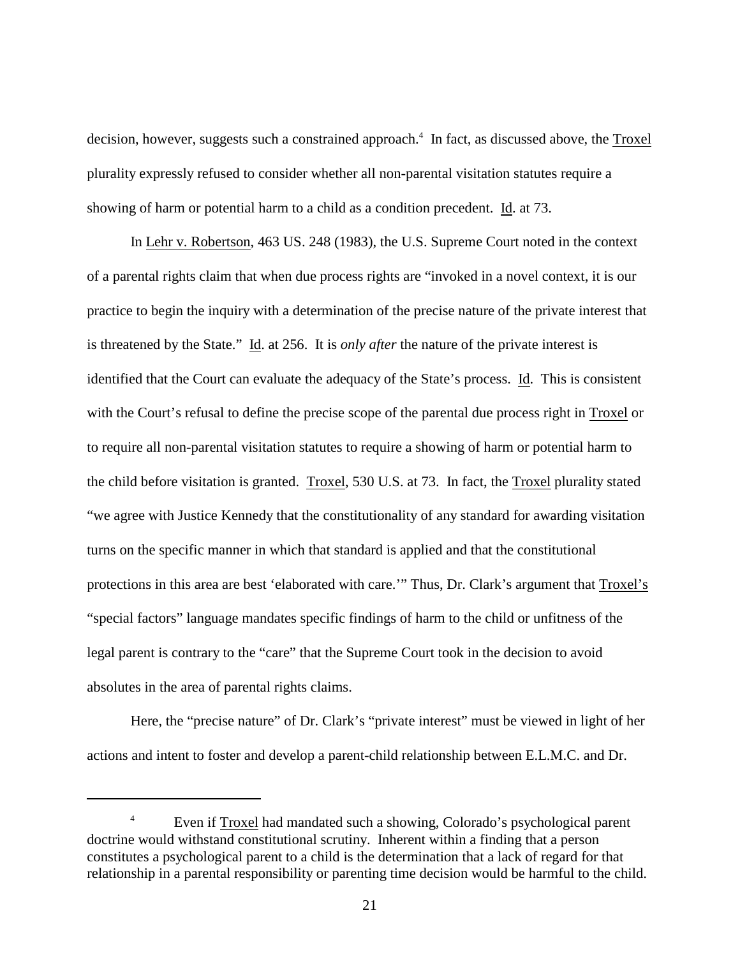decision, however, suggests such a constrained approach.<sup>4</sup> In fact, as discussed above, the Troxel plurality expressly refused to consider whether all non-parental visitation statutes require a showing of harm or potential harm to a child as a condition precedent. Id. at 73.

In Lehr v. Robertson, 463 US. 248 (1983), the U.S. Supreme Court noted in the context of a parental rights claim that when due process rights are "invoked in a novel context, it is our practice to begin the inquiry with a determination of the precise nature of the private interest that is threatened by the State." Id. at 256. It is *only after* the nature of the private interest is identified that the Court can evaluate the adequacy of the State's process. Id. This is consistent with the Court's refusal to define the precise scope of the parental due process right in Troxel or to require all non-parental visitation statutes to require a showing of harm or potential harm to the child before visitation is granted. Troxel, 530 U.S. at 73. In fact, the Troxel plurality stated "we agree with Justice Kennedy that the constitutionality of any standard for awarding visitation turns on the specific manner in which that standard is applied and that the constitutional protections in this area are best 'elaborated with care.'" Thus, Dr. Clark's argument that Troxel's "special factors" language mandates specific findings of harm to the child or unfitness of the legal parent is contrary to the "care" that the Supreme Court took in the decision to avoid absolutes in the area of parental rights claims.

Here, the "precise nature" of Dr. Clark's "private interest" must be viewed in light of her actions and intent to foster and develop a parent-child relationship between E.L.M.C. and Dr.

<sup>&</sup>lt;sup>4</sup> Even if Troxel had mandated such a showing, Colorado's psychological parent doctrine would withstand constitutional scrutiny. Inherent within a finding that a person constitutes a psychological parent to a child is the determination that a lack of regard for that relationship in a parental responsibility or parenting time decision would be harmful to the child.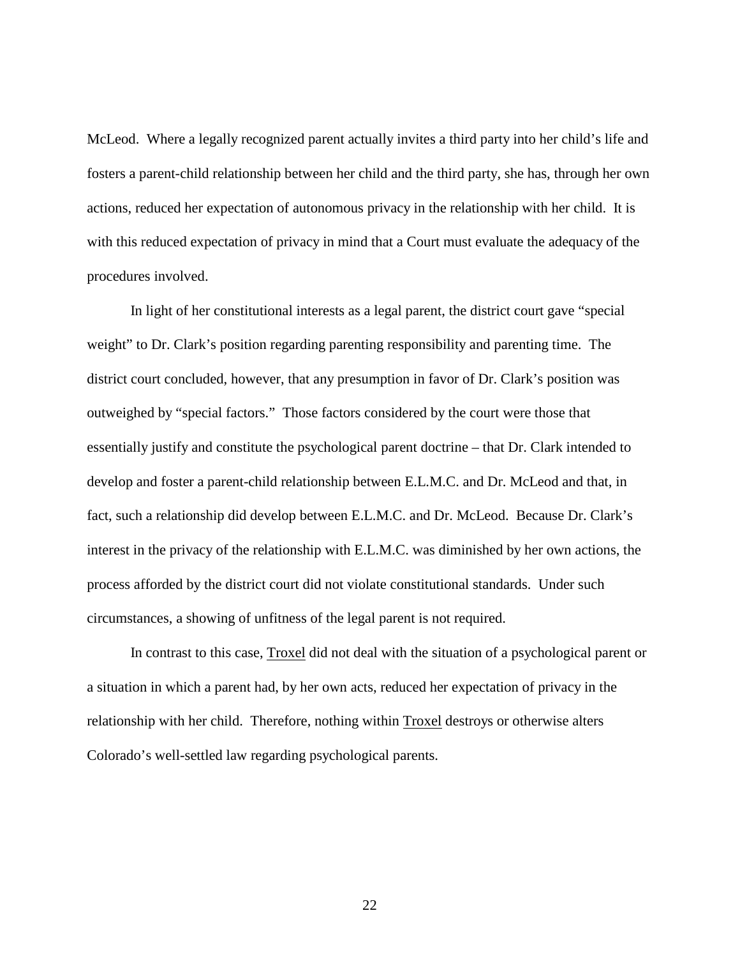McLeod. Where a legally recognized parent actually invites a third party into her child's life and fosters a parent-child relationship between her child and the third party, she has, through her own actions, reduced her expectation of autonomous privacy in the relationship with her child. It is with this reduced expectation of privacy in mind that a Court must evaluate the adequacy of the procedures involved.

In light of her constitutional interests as a legal parent, the district court gave "special weight" to Dr. Clark's position regarding parenting responsibility and parenting time. The district court concluded, however, that any presumption in favor of Dr. Clark's position was outweighed by "special factors." Those factors considered by the court were those that essentially justify and constitute the psychological parent doctrine – that Dr. Clark intended to develop and foster a parent-child relationship between E.L.M.C. and Dr. McLeod and that, in fact, such a relationship did develop between E.L.M.C. and Dr. McLeod. Because Dr. Clark's interest in the privacy of the relationship with E.L.M.C. was diminished by her own actions, the process afforded by the district court did not violate constitutional standards. Under such circumstances, a showing of unfitness of the legal parent is not required.

In contrast to this case, Troxel did not deal with the situation of a psychological parent or a situation in which a parent had, by her own acts, reduced her expectation of privacy in the relationship with her child. Therefore, nothing within Troxel destroys or otherwise alters Colorado's well-settled law regarding psychological parents.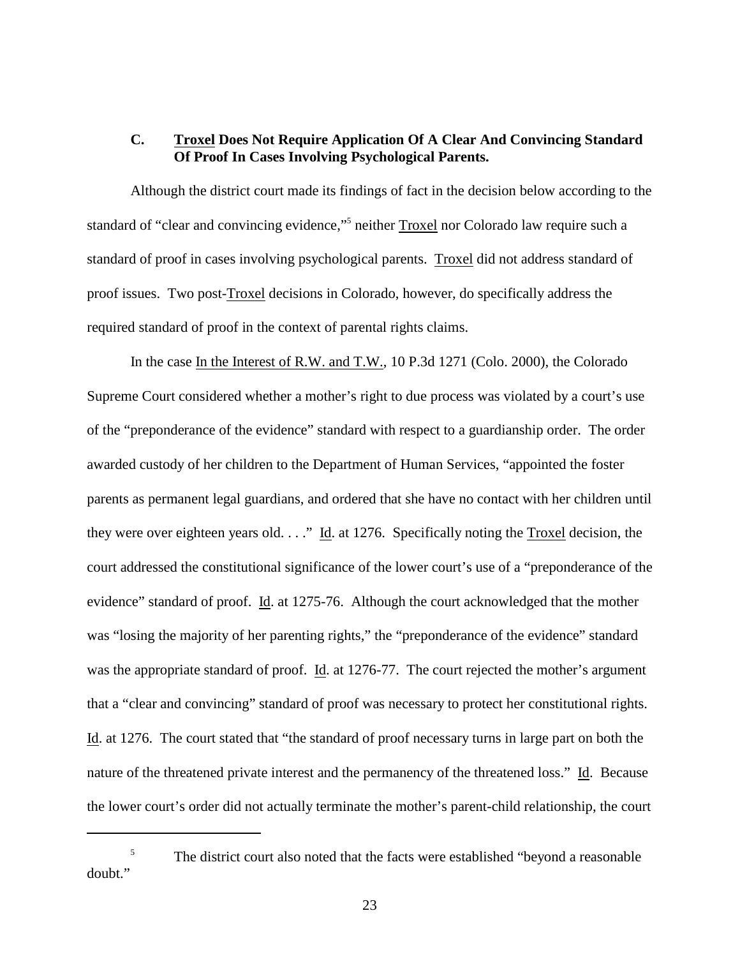### **C. Troxel Does Not Require Application Of A Clear And Convincing Standard Of Proof In Cases Involving Psychological Parents.**

Although the district court made its findings of fact in the decision below according to the standard of "clear and convincing evidence,"<sup>5</sup> neither Troxel nor Colorado law require such a standard of proof in cases involving psychological parents. Troxel did not address standard of proof issues. Two post-Troxel decisions in Colorado, however, do specifically address the required standard of proof in the context of parental rights claims.

In the case In the Interest of R.W. and T.W., 10 P.3d 1271 (Colo. 2000), the Colorado Supreme Court considered whether a mother's right to due process was violated by a court's use of the "preponderance of the evidence" standard with respect to a guardianship order. The order awarded custody of her children to the Department of Human Services, "appointed the foster parents as permanent legal guardians, and ordered that she have no contact with her children until they were over eighteen years old. . . ." Id. at 1276. Specifically noting the Troxel decision, the court addressed the constitutional significance of the lower court's use of a "preponderance of the evidence" standard of proof. Id. at 1275-76. Although the court acknowledged that the mother was "losing the majority of her parenting rights," the "preponderance of the evidence" standard was the appropriate standard of proof. Id. at 1276-77. The court rejected the mother's argument that a "clear and convincing" standard of proof was necessary to protect her constitutional rights. Id. at 1276. The court stated that "the standard of proof necessary turns in large part on both the nature of the threatened private interest and the permanency of the threatened loss." Id. Because the lower court's order did not actually terminate the mother's parent-child relationship, the court

<sup>&</sup>lt;sup>5</sup> The district court also noted that the facts were established "beyond a reasonable" doubt."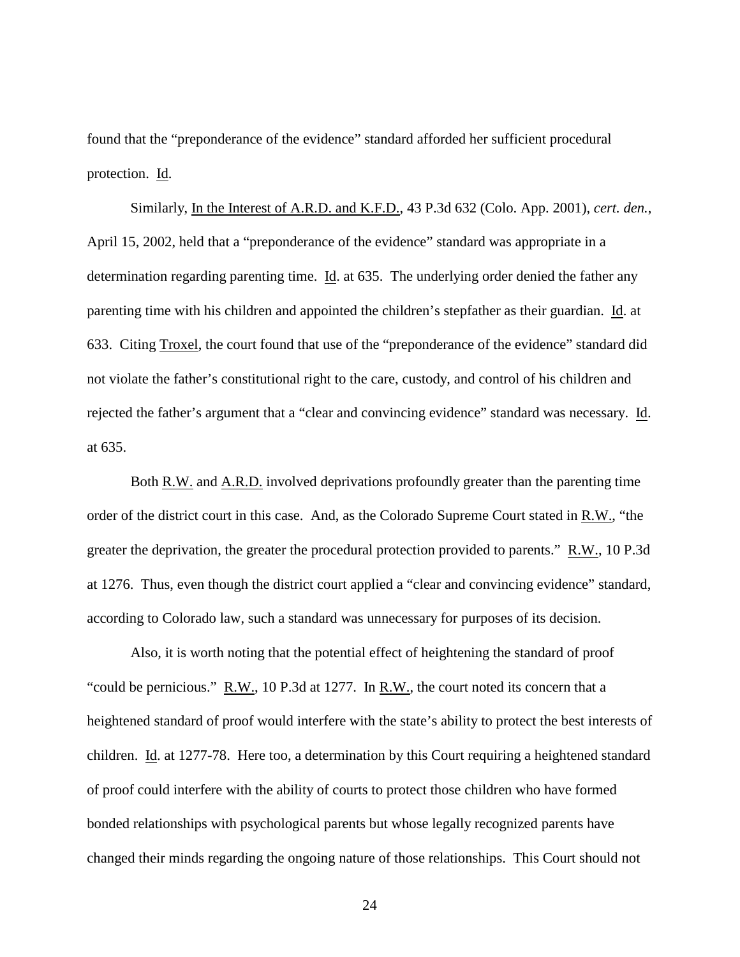found that the "preponderance of the evidence" standard afforded her sufficient procedural protection. Id.

Similarly, In the Interest of A.R.D. and K.F.D., 43 P.3d 632 (Colo. App. 2001), *cert. den.*, April 15, 2002, held that a "preponderance of the evidence" standard was appropriate in a determination regarding parenting time. Id. at 635. The underlying order denied the father any parenting time with his children and appointed the children's stepfather as their guardian. Id. at 633. Citing Troxel, the court found that use of the "preponderance of the evidence" standard did not violate the father's constitutional right to the care, custody, and control of his children and rejected the father's argument that a "clear and convincing evidence" standard was necessary. Id. at 635.

Both R.W. and A.R.D. involved deprivations profoundly greater than the parenting time order of the district court in this case. And, as the Colorado Supreme Court stated in R.W., "the greater the deprivation, the greater the procedural protection provided to parents." R.W., 10 P.3d at 1276. Thus, even though the district court applied a "clear and convincing evidence" standard, according to Colorado law, such a standard was unnecessary for purposes of its decision.

Also, it is worth noting that the potential effect of heightening the standard of proof "could be pernicious." R.W., 10 P.3d at 1277. In R.W., the court noted its concern that a heightened standard of proof would interfere with the state's ability to protect the best interests of children. Id. at 1277-78. Here too, a determination by this Court requiring a heightened standard of proof could interfere with the ability of courts to protect those children who have formed bonded relationships with psychological parents but whose legally recognized parents have changed their minds regarding the ongoing nature of those relationships. This Court should not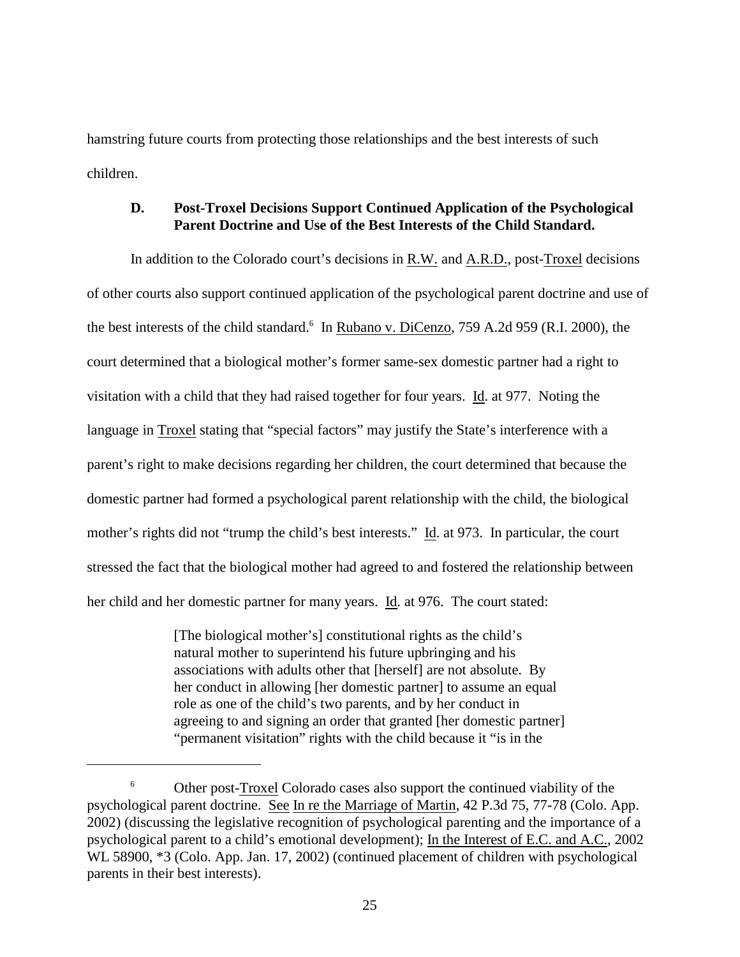hamstring future courts from protecting those relationships and the best interests of such children.

### **D. Post-Troxel Decisions Support Continued Application of the Psychological Parent Doctrine and Use of the Best Interests of the Child Standard.**

In addition to the Colorado court's decisions in R.W. and A.R.D., post-Troxel decisions of other courts also support continued application of the psychological parent doctrine and use of the best interests of the child standard.<sup>6</sup> In Rubano v. DiCenzo, 759 A.2d 959 (R.I. 2000), the court determined that a biological mother's former same-sex domestic partner had a right to visitation with a child that they had raised together for four years. Id. at 977. Noting the language in Troxel stating that "special factors" may justify the State's interference with a parent's right to make decisions regarding her children, the court determined that because the domestic partner had formed a psychological parent relationship with the child, the biological mother's rights did not "trump the child's best interests." Id. at 973. In particular, the court stressed the fact that the biological mother had agreed to and fostered the relationship between her child and her domestic partner for many years. Id. at 976. The court stated:

> [The biological mother's] constitutional rights as the child's natural mother to superintend his future upbringing and his associations with adults other that [herself] are not absolute. By her conduct in allowing [her domestic partner] to assume an equal role as one of the child's two parents, and by her conduct in agreeing to and signing an order that granted [her domestic partner] "permanent visitation" rights with the child because it "is in the

<sup>&</sup>lt;sup>6</sup> Other post-Troxel Colorado cases also support the continued viability of the psychological parent doctrine. See In re the Marriage of Martin, 42 P.3d 75, 77-78 (Colo. App. 2002) (discussing the legislative recognition of psychological parenting and the importance of a psychological parent to a child's emotional development); In the Interest of E.C. and A.C., 2002 WL 58900,  $*3$  (Colo. App. Jan. 17, 2002) (continued placement of children with psychological parents in their best interests).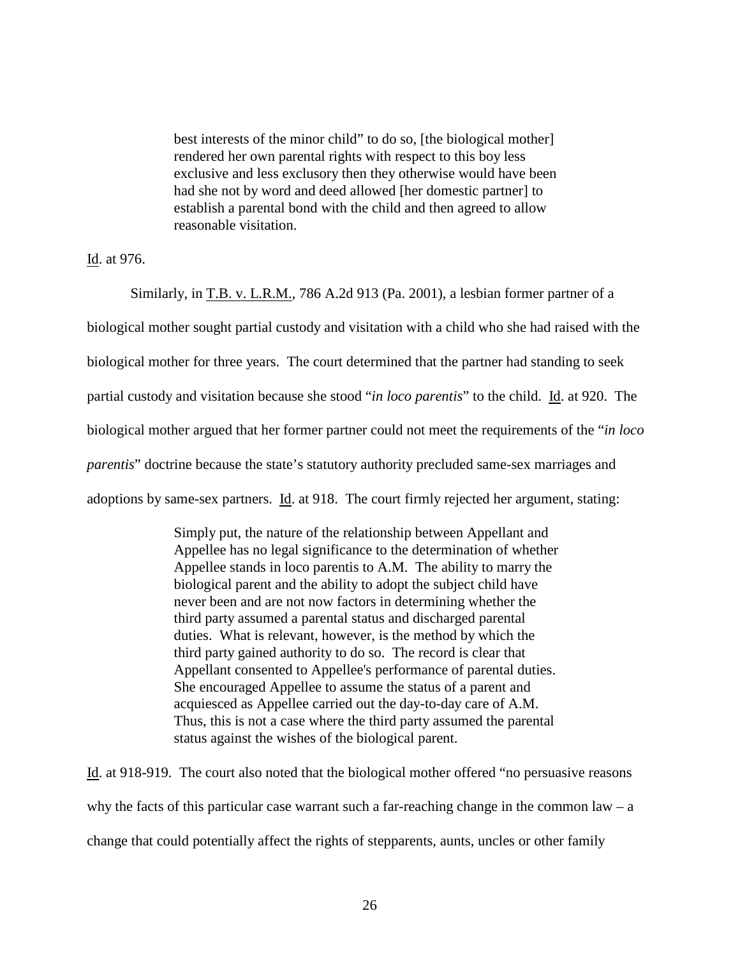best interests of the minor child" to do so, [the biological mother] rendered her own parental rights with respect to this boy less exclusive and less exclusory then they otherwise would have been had she not by word and deed allowed [her domestic partner] to establish a parental bond with the child and then agreed to allow reasonable visitation.

Id. at 976.

Similarly, in T.B. v. L.R.M., 786 A.2d 913 (Pa. 2001), a lesbian former partner of a biological mother sought partial custody and visitation with a child who she had raised with the biological mother for three years. The court determined that the partner had standing to seek partial custody and visitation because she stood "*in loco parentis*" to the child. Id. at 920. The biological mother argued that her former partner could not meet the requirements of the "*in loco parentis*" doctrine because the state's statutory authority precluded same-sex marriages and adoptions by same-sex partners. Id. at 918. The court firmly rejected her argument, stating:

> Simply put, the nature of the relationship between Appellant and Appellee has no legal significance to the determination of whether Appellee stands in loco parentis to A.M. The ability to marry the biological parent and the ability to adopt the subject child have never been and are not now factors in determining whether the third party assumed a parental status and discharged parental duties. What is relevant, however, is the method by which the third party gained authority to do so. The record is clear that Appellant consented to Appellee's performance of parental duties. She encouraged Appellee to assume the status of a parent and acquiesced as Appellee carried out the day-to-day care of A.M. Thus, this is not a case where the third party assumed the parental status against the wishes of the biological parent.

Id. at 918-919. The court also noted that the biological mother offered "no persuasive reasons why the facts of this particular case warrant such a far-reaching change in the common law –  $a$ change that could potentially affect the rights of stepparents, aunts, uncles or other family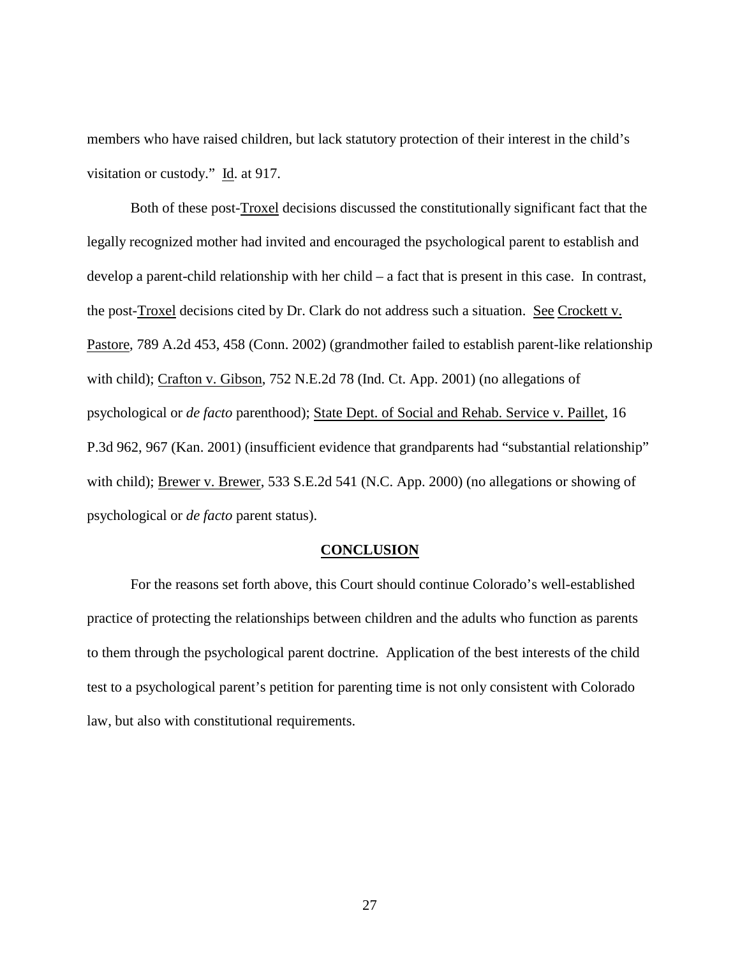members who have raised children, but lack statutory protection of their interest in the child's visitation or custody." Id. at 917.

Both of these post-Troxel decisions discussed the constitutionally significant fact that the legally recognized mother had invited and encouraged the psychological parent to establish and develop a parent-child relationship with her child – a fact that is present in this case. In contrast, the post-Troxel decisions cited by Dr. Clark do not address such a situation. See Crockett v. Pastore, 789 A.2d 453, 458 (Conn. 2002) (grandmother failed to establish parent-like relationship with child); Crafton v. Gibson, 752 N.E.2d 78 (Ind. Ct. App. 2001) (no allegations of psychological or *de facto* parenthood); State Dept. of Social and Rehab. Service v. Paillet, 16 P.3d 962, 967 (Kan. 2001) (insufficient evidence that grandparents had "substantial relationship" with child); Brewer v. Brewer, 533 S.E.2d 541 (N.C. App. 2000) (no allegations or showing of psychological or *de facto* parent status).

#### **CONCLUSION**

For the reasons set forth above, this Court should continue Colorado's well-established practice of protecting the relationships between children and the adults who function as parents to them through the psychological parent doctrine. Application of the best interests of the child test to a psychological parent's petition for parenting time is not only consistent with Colorado law, but also with constitutional requirements.